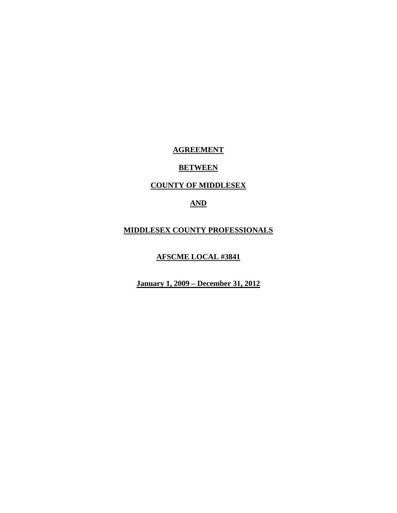## **AGREEMENT**

## **BETWEEN**

## **COUNTY OF MIDDLESEX**

# **AND**

## **MIDDLESEX COUNTY PROFESSIONALS**

## **AFSCME LOCAL #3841**

**January 1, 2009 – December 31, 2012**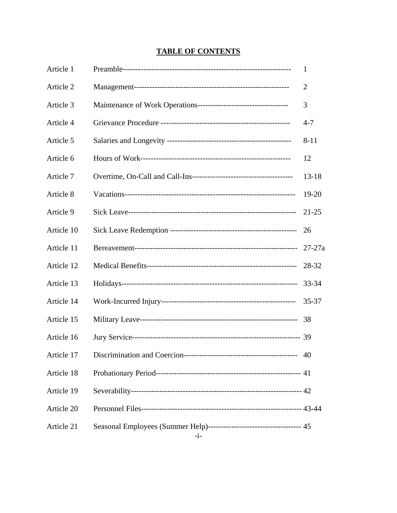# **TABLE OF CONTENTS**

| Article 1  | 1              |
|------------|----------------|
| Article 2  | $\overline{2}$ |
| Article 3  | 3              |
| Article 4  | $4 - 7$        |
| Article 5  | $8 - 11$       |
| Article 6  | 12             |
| Article 7  | $13 - 18$      |
| Article 8  | 19-20          |
| Article 9  | $21 - 25$      |
| Article 10 | 26             |
| Article 11 | $27 - 27a$     |
| Article 12 | 28-32          |
| Article 13 | 33-34          |
| Article 14 | $35 - 37$      |
| Article 15 | 38             |
| Article 16 |                |
|            | 40             |
| Article 18 |                |
| Article 19 |                |
| Article 20 |                |
| Article 21 |                |
|            |                |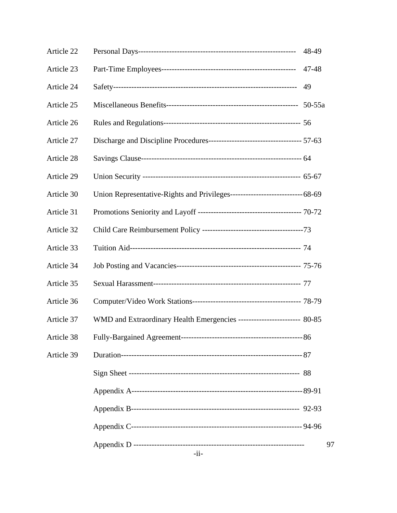| Article 22 |                                                                        | 48-49 |    |
|------------|------------------------------------------------------------------------|-------|----|
| Article 23 |                                                                        | 47-48 |    |
| Article 24 |                                                                        | 49    |    |
| Article 25 |                                                                        |       |    |
| Article 26 |                                                                        |       |    |
| Article 27 |                                                                        |       |    |
| Article 28 |                                                                        |       |    |
| Article 29 |                                                                        |       |    |
| Article 30 |                                                                        |       |    |
| Article 31 |                                                                        |       |    |
| Article 32 |                                                                        |       |    |
| Article 33 |                                                                        |       |    |
| Article 34 |                                                                        |       |    |
| Article 35 |                                                                        |       |    |
| Article 36 |                                                                        |       |    |
| Article 37 | WMD and Extraordinary Health Emergencies ----------------------- 80-85 |       |    |
| Article 38 | $---86$                                                                |       |    |
| Article 39 |                                                                        |       |    |
|            |                                                                        |       |    |
|            |                                                                        |       |    |
|            |                                                                        |       |    |
|            |                                                                        |       |    |
|            |                                                                        |       | 97 |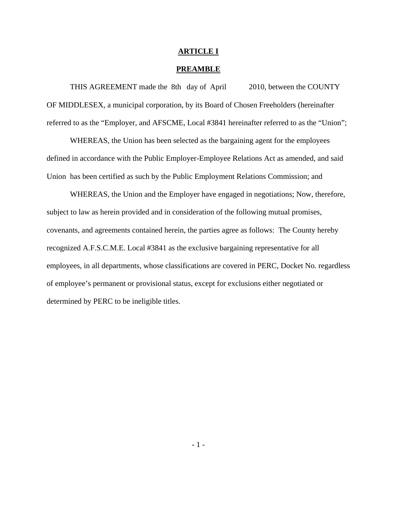#### **ARTICLE I**

#### **PREAMBLE**

 THIS AGREEMENT made the 8th day of April 2010, between the COUNTY OF MIDDLESEX, a municipal corporation, by its Board of Chosen Freeholders (hereinafter referred to as the "Employer, and AFSCME, Local #3841 hereinafter referred to as the "Union";

 WHEREAS, the Union has been selected as the bargaining agent for the employees defined in accordance with the Public Employer-Employee Relations Act as amended, and said Union has been certified as such by the Public Employment Relations Commission; and

 WHEREAS, the Union and the Employer have engaged in negotiations; Now, therefore, subject to law as herein provided and in consideration of the following mutual promises, covenants, and agreements contained herein, the parties agree as follows: The County hereby recognized A.F.S.C.M.E. Local #3841 as the exclusive bargaining representative for all employees, in all departments, whose classifications are covered in PERC, Docket No. regardless of employee's permanent or provisional status, except for exclusions either negotiated or determined by PERC to be ineligible titles.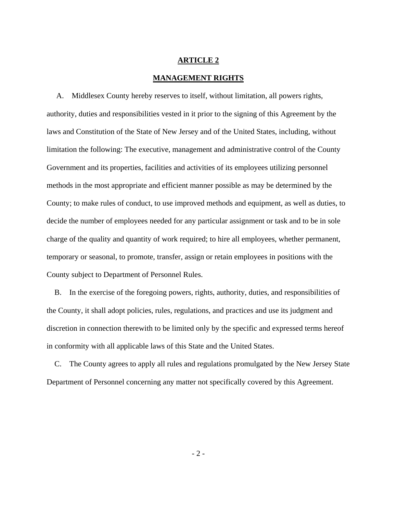### **MANAGEMENT RIGHTS**

 A. Middlesex County hereby reserves to itself, without limitation, all powers rights, authority, duties and responsibilities vested in it prior to the signing of this Agreement by the laws and Constitution of the State of New Jersey and of the United States, including, without limitation the following: The executive, management and administrative control of the County Government and its properties, facilities and activities of its employees utilizing personnel methods in the most appropriate and efficient manner possible as may be determined by the County; to make rules of conduct, to use improved methods and equipment, as well as duties, to decide the number of employees needed for any particular assignment or task and to be in sole charge of the quality and quantity of work required; to hire all employees, whether permanent, temporary or seasonal, to promote, transfer, assign or retain employees in positions with the County subject to Department of Personnel Rules.

 B. In the exercise of the foregoing powers, rights, authority, duties, and responsibilities of the County, it shall adopt policies, rules, regulations, and practices and use its judgment and discretion in connection therewith to be limited only by the specific and expressed terms hereof in conformity with all applicable laws of this State and the United States.

 C. The County agrees to apply all rules and regulations promulgated by the New Jersey State Department of Personnel concerning any matter not specifically covered by this Agreement.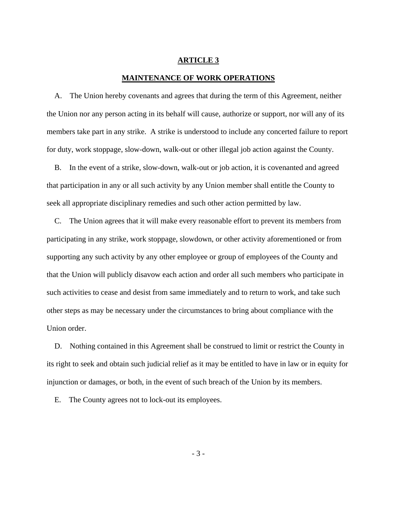#### **MAINTENANCE OF WORK OPERATIONS**

A. The Union hereby covenants and agrees that during the term of this Agreement, neither the Union nor any person acting in its behalf will cause, authorize or support, nor will any of its members take part in any strike. A strike is understood to include any concerted failure to report for duty, work stoppage, slow-down, walk-out or other illegal job action against the County.

 B. In the event of a strike, slow-down, walk-out or job action, it is covenanted and agreed that participation in any or all such activity by any Union member shall entitle the County to seek all appropriate disciplinary remedies and such other action permitted by law.

 C. The Union agrees that it will make every reasonable effort to prevent its members from participating in any strike, work stoppage, slowdown, or other activity aforementioned or from supporting any such activity by any other employee or group of employees of the County and that the Union will publicly disavow each action and order all such members who participate in such activities to cease and desist from same immediately and to return to work, and take such other steps as may be necessary under the circumstances to bring about compliance with the Union order.

 D. Nothing contained in this Agreement shall be construed to limit or restrict the County in its right to seek and obtain such judicial relief as it may be entitled to have in law or in equity for injunction or damages, or both, in the event of such breach of the Union by its members.

E. The County agrees not to lock-out its employees.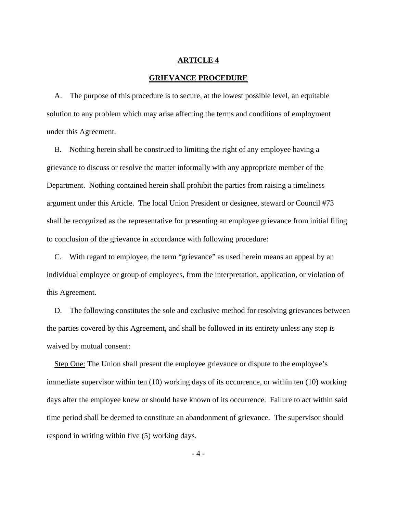### **GRIEVANCE PROCEDURE**

 A. The purpose of this procedure is to secure, at the lowest possible level, an equitable solution to any problem which may arise affecting the terms and conditions of employment under this Agreement.

 B. Nothing herein shall be construed to limiting the right of any employee having a grievance to discuss or resolve the matter informally with any appropriate member of the Department. Nothing contained herein shall prohibit the parties from raising a timeliness argument under this Article. The local Union President or designee, steward or Council #73 shall be recognized as the representative for presenting an employee grievance from initial filing to conclusion of the grievance in accordance with following procedure:

 C. With regard to employee, the term "grievance" as used herein means an appeal by an individual employee or group of employees, from the interpretation, application, or violation of this Agreement.

 D. The following constitutes the sole and exclusive method for resolving grievances between the parties covered by this Agreement, and shall be followed in its entirety unless any step is waived by mutual consent:

 Step One: The Union shall present the employee grievance or dispute to the employee's immediate supervisor within ten (10) working days of its occurrence, or within ten (10) working days after the employee knew or should have known of its occurrence. Failure to act within said time period shall be deemed to constitute an abandonment of grievance. The supervisor should respond in writing within five (5) working days.

- 4 -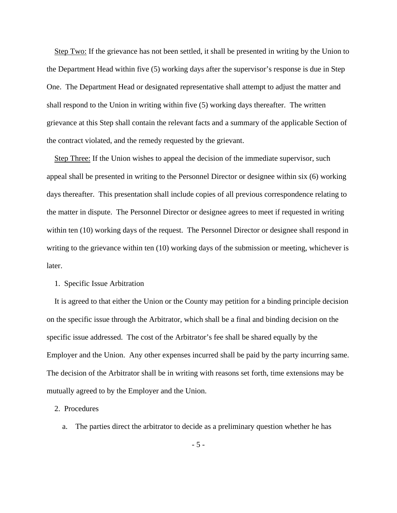Step Two: If the grievance has not been settled, it shall be presented in writing by the Union to the Department Head within five (5) working days after the supervisor's response is due in Step One. The Department Head or designated representative shall attempt to adjust the matter and shall respond to the Union in writing within five (5) working days thereafter. The written grievance at this Step shall contain the relevant facts and a summary of the applicable Section of the contract violated, and the remedy requested by the grievant.

 Step Three: If the Union wishes to appeal the decision of the immediate supervisor, such appeal shall be presented in writing to the Personnel Director or designee within six (6) working days thereafter. This presentation shall include copies of all previous correspondence relating to the matter in dispute. The Personnel Director or designee agrees to meet if requested in writing within ten (10) working days of the request. The Personnel Director or designee shall respond in writing to the grievance within ten (10) working days of the submission or meeting, whichever is later.

## 1. Specific Issue Arbitration

 It is agreed to that either the Union or the County may petition for a binding principle decision on the specific issue through the Arbitrator, which shall be a final and binding decision on the specific issue addressed. The cost of the Arbitrator's fee shall be shared equally by the Employer and the Union. Any other expenses incurred shall be paid by the party incurring same. The decision of the Arbitrator shall be in writing with reasons set forth, time extensions may be mutually agreed to by the Employer and the Union.

#### 2. Procedures

a. The parties direct the arbitrator to decide as a preliminary question whether he has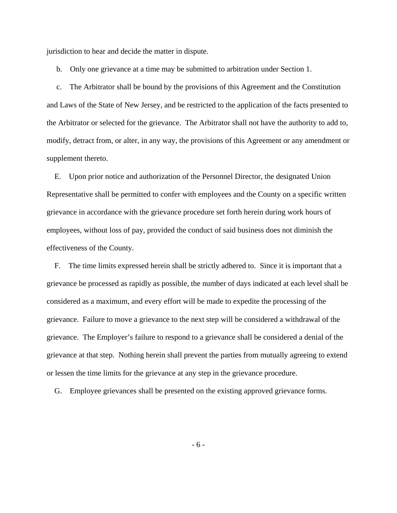jurisdiction to hear and decide the matter in dispute.

b. Only one grievance at a time may be submitted to arbitration under Section 1.

 c. The Arbitrator shall be bound by the provisions of this Agreement and the Constitution and Laws of the State of New Jersey, and be restricted to the application of the facts presented to the Arbitrator or selected for the grievance. The Arbitrator shall not have the authority to add to, modify, detract from, or alter, in any way, the provisions of this Agreement or any amendment or supplement thereto.

 E. Upon prior notice and authorization of the Personnel Director, the designated Union Representative shall be permitted to confer with employees and the County on a specific written grievance in accordance with the grievance procedure set forth herein during work hours of employees, without loss of pay, provided the conduct of said business does not diminish the effectiveness of the County.

 F. The time limits expressed herein shall be strictly adhered to. Since it is important that a grievance be processed as rapidly as possible, the number of days indicated at each level shall be considered as a maximum, and every effort will be made to expedite the processing of the grievance. Failure to move a grievance to the next step will be considered a withdrawal of the grievance. The Employer's failure to respond to a grievance shall be considered a denial of the grievance at that step. Nothing herein shall prevent the parties from mutually agreeing to extend or lessen the time limits for the grievance at any step in the grievance procedure.

G. Employee grievances shall be presented on the existing approved grievance forms.

- 6 -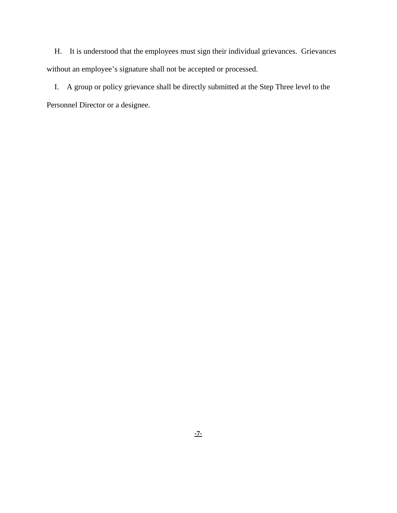H. It is understood that the employees must sign their individual grievances. Grievances without an employee's signature shall not be accepted or processed.

 I. A group or policy grievance shall be directly submitted at the Step Three level to the Personnel Director or a designee.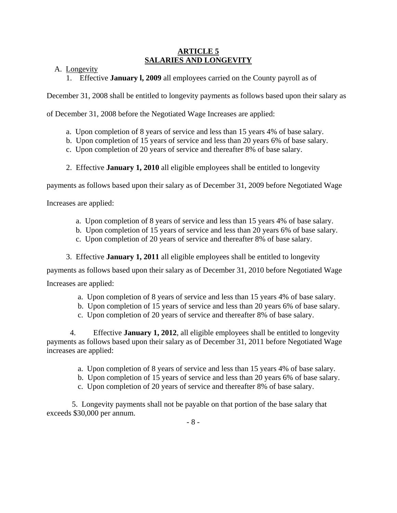## **ARTICLE 5 SALARIES AND LONGEVITY**

A. Longevity

1. Effective **January l, 2009** all employees carried on the County payroll as of

December 31, 2008 shall be entitled to longevity payments as follows based upon their salary as

of December 31, 2008 before the Negotiated Wage Increases are applied:

- a. Upon completion of 8 years of service and less than 15 years 4% of base salary.
- b. Upon completion of 15 years of service and less than 20 years 6% of base salary.
- c. Upon completion of 20 years of service and thereafter 8% of base salary.
- 2. Effective **January 1, 2010** all eligible employees shall be entitled to longevity

payments as follows based upon their salary as of December 31, 2009 before Negotiated Wage

Increases are applied:

- a. Upon completion of 8 years of service and less than 15 years 4% of base salary.
- b. Upon completion of 15 years of service and less than 20 years 6% of base salary.
- c. Upon completion of 20 years of service and thereafter 8% of base salary.
- 3. Effective **January 1, 2011** all eligible employees shall be entitled to longevity

payments as follows based upon their salary as of December 31, 2010 before Negotiated Wage Increases are applied:

- a. Upon completion of 8 years of service and less than 15 years 4% of base salary.
- b. Upon completion of 15 years of service and less than 20 years 6% of base salary.
- c. Upon completion of 20 years of service and thereafter 8% of base salary.

 4. Effective **January 1, 2012**, all eligible employees shall be entitled to longevity payments as follows based upon their salary as of December 31, 2011 before Negotiated Wage increases are applied:

- a. Upon completion of 8 years of service and less than 15 years 4% of base salary.
- b. Upon completion of 15 years of service and less than 20 years 6% of base salary.
- c. Upon completion of 20 years of service and thereafter 8% of base salary.

 5. Longevity payments shall not be payable on that portion of the base salary that exceeds \$30,000 per annum.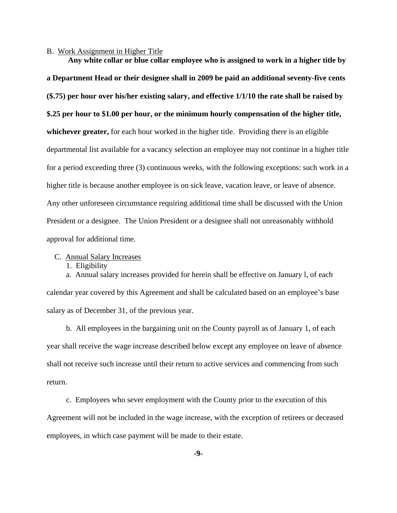#### B. Work Assignment in Higher Title

 **Any white collar or blue collar employee who is assigned to work in a higher title by a Department Head or their designee shall in 2009 be paid an additional seventy-five cents (\$.75) per hour over his/her existing salary, and effective 1/1/10 the rate shall be raised by \$.25 per hour to \$1.00 per hour, or the minimum hourly compensation of the higher title, whichever greater,** for each hour worked in the higher title. Providing there is an eligible departmental list available for a vacancy selection an employee may not continue in a higher title for a period exceeding three (3) continuous weeks, with the following exceptions: such work in a higher title is because another employee is on sick leave, vacation leave, or leave of absence. Any other unforeseen circumstance requiring additional time shall be discussed with the Union President or a designee. The Union President or a designee shall not unreasonably withhold approval for additional time.

### C. Annual Salary Increases

1. Eligibility

 a. Annual salary increases provided for herein shall be effective on January l, of each calendar year covered by this Agreement and shall be calculated based on an employee's base salary as of December 31, of the previous year.

 b. All employees in the bargaining unit on the County payroll as of January 1, of each year shall receive the wage increase described below except any employee on leave of absence shall not receive such increase until their return to active services and commencing from such return.

 c. Employees who sever employment with the County prior to the execution of this Agreement will not be included in the wage increase, with the exception of retirees or deceased employees, in which case payment will be made to their estate.

**-9-**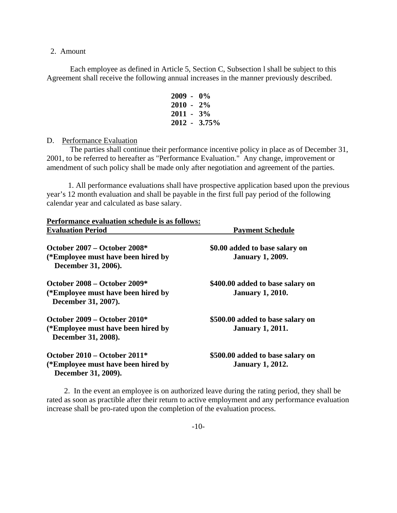### 2. Amount

Each employee as defined in Article 5, Section C, Subsection l shall be subject to this Agreement shall receive the following annual increases in the manner previously described.

| $2009 - 0\%$    |  |
|-----------------|--|
| $2010 - 2\%$    |  |
| $2011 - 3\%$    |  |
| $2012 - 3.75\%$ |  |

D. Performance Evaluation

 The parties shall continue their performance incentive policy in place as of December 31, 2001, to be referred to hereafter as "Performance Evaluation." Any change, improvement or amendment of such policy shall be made only after negotiation and agreement of the parties.

 1. All performance evaluations shall have prospective application based upon the previous year's 12 month evaluation and shall be payable in the first full pay period of the following calendar year and calculated as base salary.

| Performance evaluation schedule is as follows:                                                |                                                             |
|-----------------------------------------------------------------------------------------------|-------------------------------------------------------------|
| <b>Evaluation Period</b>                                                                      | <b>Payment Schedule</b>                                     |
| October $2007 -$ October $2008*$<br>(*Employee must have been hired by<br>December 31, 2006). | \$0.00 added to base salary on<br><b>January 1, 2009.</b>   |
| October $2008 -$ October $2009*$<br>(*Employee must have been hired by<br>December 31, 2007). | \$400.00 added to base salary on<br><b>January 1, 2010.</b> |
| October $2009 -$ October $2010*$<br>(*Employee must have been hired by<br>December 31, 2008). | \$500.00 added to base salary on<br><b>January 1, 2011.</b> |
| October $2010 -$ October $2011*$<br>(*Employee must have been hired by<br>December 31, 2009). | \$500.00 added to base salary on<br><b>January 1, 2012.</b> |

 2. In the event an employee is on authorized leave during the rating period, they shall be rated as soon as practible after their return to active employment and any performance evaluation increase shall be pro-rated upon the completion of the evaluation process.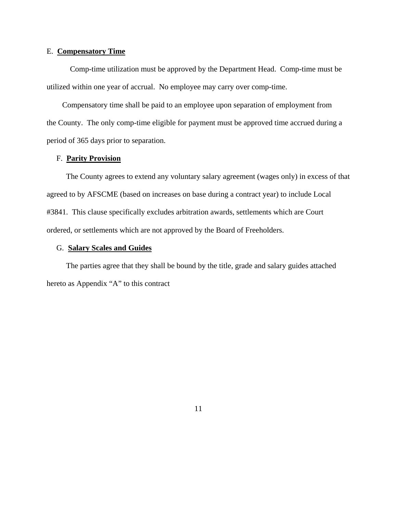#### E. **Compensatory Time**

 Comp-time utilization must be approved by the Department Head. Comp-time must be utilized within one year of accrual. No employee may carry over comp-time.

 Compensatory time shall be paid to an employee upon separation of employment from the County. The only comp-time eligible for payment must be approved time accrued during a period of 365 days prior to separation.

#### F. **Parity Provision**

 The County agrees to extend any voluntary salary agreement (wages only) in excess of that agreed to by AFSCME (based on increases on base during a contract year) to include Local #3841. This clause specifically excludes arbitration awards, settlements which are Court ordered, or settlements which are not approved by the Board of Freeholders.

### G. **Salary Scales and Guides**

 The parties agree that they shall be bound by the title, grade and salary guides attached hereto as Appendix "A" to this contract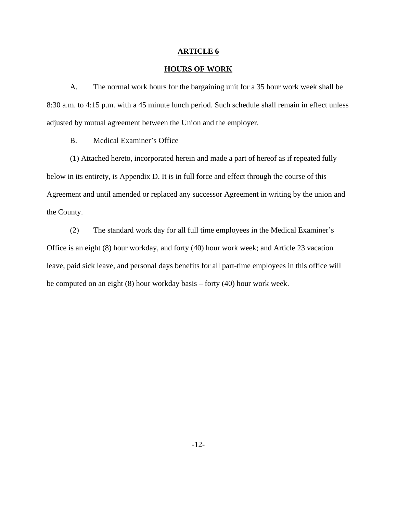## **HOURS OF WORK**

 A. The normal work hours for the bargaining unit for a 35 hour work week shall be 8:30 a.m. to 4:15 p.m. with a 45 minute lunch period. Such schedule shall remain in effect unless adjusted by mutual agreement between the Union and the employer.

### B. Medical Examiner's Office

 (1) Attached hereto, incorporated herein and made a part of hereof as if repeated fully below in its entirety, is Appendix D. It is in full force and effect through the course of this Agreement and until amended or replaced any successor Agreement in writing by the union and the County.

 (2) The standard work day for all full time employees in the Medical Examiner's Office is an eight (8) hour workday, and forty (40) hour work week; and Article 23 vacation leave, paid sick leave, and personal days benefits for all part-time employees in this office will be computed on an eight (8) hour workday basis – forty (40) hour work week.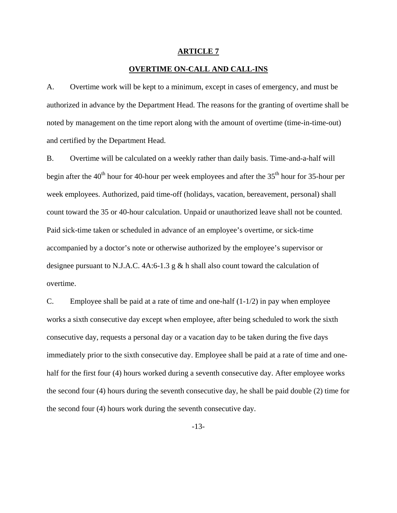## **OVERTIME ON-CALL AND CALL-INS**

A. Overtime work will be kept to a minimum, except in cases of emergency, and must be authorized in advance by the Department Head. The reasons for the granting of overtime shall be noted by management on the time report along with the amount of overtime (time-in-time-out) and certified by the Department Head.

B. Overtime will be calculated on a weekly rather than daily basis. Time-and-a-half will begin after the  $40<sup>th</sup>$  hour for 40-hour per week employees and after the  $35<sup>th</sup>$  hour for 35-hour per week employees. Authorized, paid time-off (holidays, vacation, bereavement, personal) shall count toward the 35 or 40-hour calculation. Unpaid or unauthorized leave shall not be counted. Paid sick-time taken or scheduled in advance of an employee's overtime, or sick-time accompanied by a doctor's note or otherwise authorized by the employee's supervisor or designee pursuant to N.J.A.C.  $4A:6-1.3 \text{ g} \& \text{h}$  shall also count toward the calculation of overtime.

C. Employee shall be paid at a rate of time and one-half (1-1/2) in pay when employee works a sixth consecutive day except when employee, after being scheduled to work the sixth consecutive day, requests a personal day or a vacation day to be taken during the five days immediately prior to the sixth consecutive day. Employee shall be paid at a rate of time and onehalf for the first four (4) hours worked during a seventh consecutive day. After employee works the second four (4) hours during the seventh consecutive day, he shall be paid double (2) time for the second four (4) hours work during the seventh consecutive day.

-13-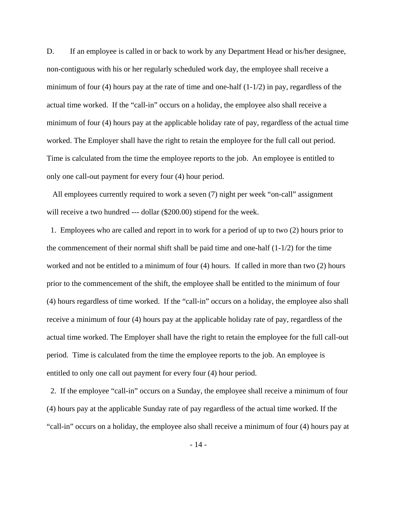D. If an employee is called in or back to work by any Department Head or his/her designee, non-contiguous with his or her regularly scheduled work day, the employee shall receive a minimum of four (4) hours pay at the rate of time and one-half  $(1-1/2)$  in pay, regardless of the actual time worked. If the "call-in" occurs on a holiday, the employee also shall receive a minimum of four (4) hours pay at the applicable holiday rate of pay, regardless of the actual time worked. The Employer shall have the right to retain the employee for the full call out period. Time is calculated from the time the employee reports to the job. An employee is entitled to only one call-out payment for every four (4) hour period.

 All employees currently required to work a seven (7) night per week "on-call" assignment will receive a two hundred --- dollar (\$200.00) stipend for the week.

 1. Employees who are called and report in to work for a period of up to two (2) hours prior to the commencement of their normal shift shall be paid time and one-half  $(1-1/2)$  for the time worked and not be entitled to a minimum of four (4) hours. If called in more than two (2) hours prior to the commencement of the shift, the employee shall be entitled to the minimum of four (4) hours regardless of time worked. If the "call-in" occurs on a holiday, the employee also shall receive a minimum of four (4) hours pay at the applicable holiday rate of pay, regardless of the actual time worked. The Employer shall have the right to retain the employee for the full call-out period. Time is calculated from the time the employee reports to the job. An employee is entitled to only one call out payment for every four (4) hour period.

 2. If the employee "call-in" occurs on a Sunday, the employee shall receive a minimum of four (4) hours pay at the applicable Sunday rate of pay regardless of the actual time worked. If the "call-in" occurs on a holiday, the employee also shall receive a minimum of four (4) hours pay at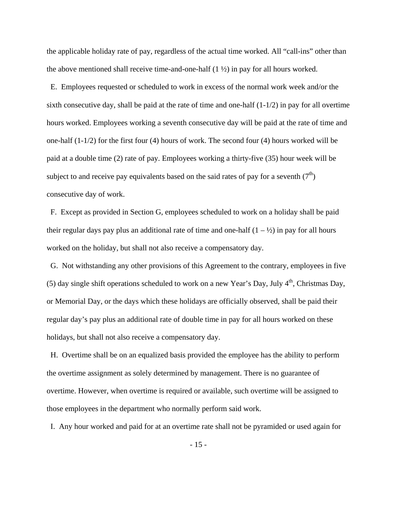the applicable holiday rate of pay, regardless of the actual time worked. All "call-ins" other than the above mentioned shall receive time-and-one-half  $(1 \frac{1}{2})$  in pay for all hours worked.

 E. Employees requested or scheduled to work in excess of the normal work week and/or the sixth consecutive day, shall be paid at the rate of time and one-half (1-1/2) in pay for all overtime hours worked. Employees working a seventh consecutive day will be paid at the rate of time and one-half (1-1/2) for the first four (4) hours of work. The second four (4) hours worked will be paid at a double time (2) rate of pay. Employees working a thirty-five (35) hour week will be subject to and receive pay equivalents based on the said rates of pay for a seventh  $(7<sup>th</sup>)$ consecutive day of work.

 F. Except as provided in Section G, employees scheduled to work on a holiday shall be paid their regular days pay plus an additional rate of time and one-half  $(1 - \frac{1}{2})$  in pay for all hours worked on the holiday, but shall not also receive a compensatory day.

 G. Not withstanding any other provisions of this Agreement to the contrary, employees in five (5) day single shift operations scheduled to work on a new Year's Day, July  $4<sup>th</sup>$ , Christmas Day, or Memorial Day, or the days which these holidays are officially observed, shall be paid their regular day's pay plus an additional rate of double time in pay for all hours worked on these holidays, but shall not also receive a compensatory day.

 H. Overtime shall be on an equalized basis provided the employee has the ability to perform the overtime assignment as solely determined by management. There is no guarantee of overtime. However, when overtime is required or available, such overtime will be assigned to those employees in the department who normally perform said work.

I. Any hour worked and paid for at an overtime rate shall not be pyramided or used again for

- 15 -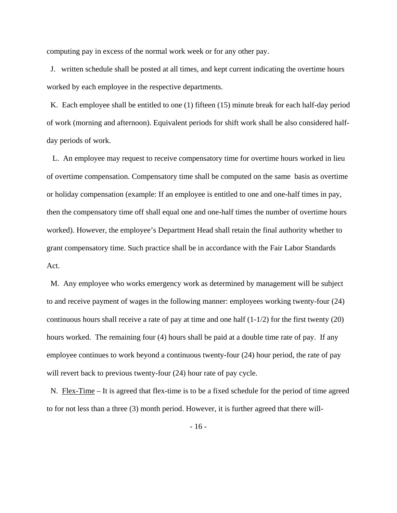computing pay in excess of the normal work week or for any other pay.

 J. written schedule shall be posted at all times, and kept current indicating the overtime hours worked by each employee in the respective departments.

 K. Each employee shall be entitled to one (1) fifteen (15) minute break for each half-day period of work (morning and afternoon). Equivalent periods for shift work shall be also considered halfday periods of work.

 L. An employee may request to receive compensatory time for overtime hours worked in lieu of overtime compensation. Compensatory time shall be computed on the same basis as overtime or holiday compensation (example: If an employee is entitled to one and one-half times in pay, then the compensatory time off shall equal one and one-half times the number of overtime hours worked). However, the employee's Department Head shall retain the final authority whether to grant compensatory time. Such practice shall be in accordance with the Fair Labor Standards Act.

 M. Any employee who works emergency work as determined by management will be subject to and receive payment of wages in the following manner: employees working twenty-four (24) continuous hours shall receive a rate of pay at time and one half  $(1-1/2)$  for the first twenty (20) hours worked. The remaining four (4) hours shall be paid at a double time rate of pay. If any employee continues to work beyond a continuous twenty-four (24) hour period, the rate of pay will revert back to previous twenty-four  $(24)$  hour rate of pay cycle.

N. Flex-Time – It is agreed that flex-time is to be a fixed schedule for the period of time agreed to for not less than a three (3) month period. However, it is further agreed that there will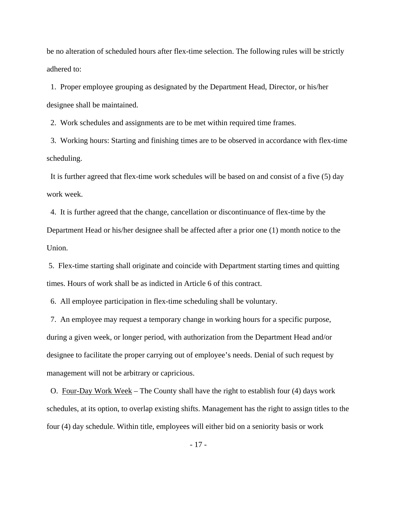be no alteration of scheduled hours after flex-time selection. The following rules will be strictly adhered to:

 1. Proper employee grouping as designated by the Department Head, Director, or his/her designee shall be maintained.

2. Work schedules and assignments are to be met within required time frames.

 3. Working hours: Starting and finishing times are to be observed in accordance with flex-time scheduling.

 It is further agreed that flex-time work schedules will be based on and consist of a five (5) day work week.

 4. It is further agreed that the change, cancellation or discontinuance of flex-time by the Department Head or his/her designee shall be affected after a prior one (1) month notice to the Union.

 5. Flex-time starting shall originate and coincide with Department starting times and quitting times. Hours of work shall be as indicted in Article 6 of this contract.

6. All employee participation in flex-time scheduling shall be voluntary.

 7. An employee may request a temporary change in working hours for a specific purpose, during a given week, or longer period, with authorization from the Department Head and/or designee to facilitate the proper carrying out of employee's needs. Denial of such request by management will not be arbitrary or capricious.

 O. Four-Day Work Week – The County shall have the right to establish four (4) days work schedules, at its option, to overlap existing shifts. Management has the right to assign titles to the four (4) day schedule. Within title, employees will either bid on a seniority basis or work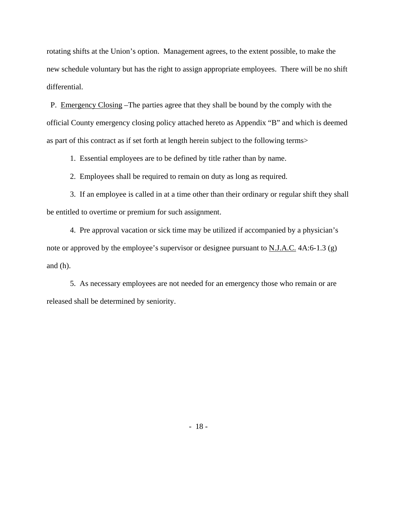rotating shifts at the Union's option. Management agrees, to the extent possible, to make the new schedule voluntary but has the right to assign appropriate employees. There will be no shift differential.

 P. Emergency Closing –The parties agree that they shall be bound by the comply with the official County emergency closing policy attached hereto as Appendix "B" and which is deemed as part of this contract as if set forth at length herein subject to the following terms>

1. Essential employees are to be defined by title rather than by name.

2. Employees shall be required to remain on duty as long as required.

 3. If an employee is called in at a time other than their ordinary or regular shift they shall be entitled to overtime or premium for such assignment.

 4. Pre approval vacation or sick time may be utilized if accompanied by a physician's note or approved by the employee's supervisor or designee pursuant to  $N.J.A.C.$  4A:6-1.3 (g) and (h).

 5. As necessary employees are not needed for an emergency those who remain or are released shall be determined by seniority.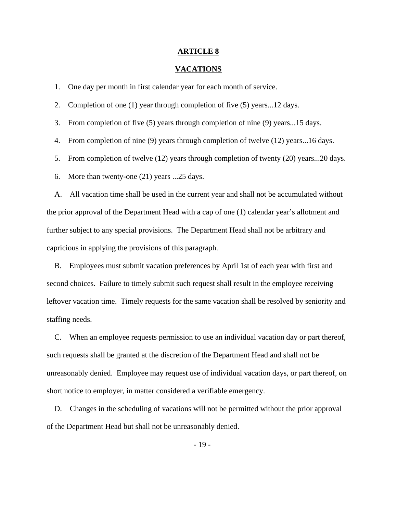#### **VACATIONS**

1. One day per month in first calendar year for each month of service.

2. Completion of one (1) year through completion of five (5) years...12 days.

3. From completion of five (5) years through completion of nine (9) years...15 days.

4. From completion of nine (9) years through completion of twelve (12) years...16 days.

5. From completion of twelve (12) years through completion of twenty (20) years...20 days.

6. More than twenty-one (21) years ...25 days.

 A. All vacation time shall be used in the current year and shall not be accumulated without the prior approval of the Department Head with a cap of one (1) calendar year's allotment and further subject to any special provisions. The Department Head shall not be arbitrary and capricious in applying the provisions of this paragraph.

 B. Employees must submit vacation preferences by April 1st of each year with first and second choices. Failure to timely submit such request shall result in the employee receiving leftover vacation time. Timely requests for the same vacation shall be resolved by seniority and staffing needs.

 C. When an employee requests permission to use an individual vacation day or part thereof, such requests shall be granted at the discretion of the Department Head and shall not be unreasonably denied. Employee may request use of individual vacation days, or part thereof, on short notice to employer, in matter considered a verifiable emergency.

 D. Changes in the scheduling of vacations will not be permitted without the prior approval of the Department Head but shall not be unreasonably denied.

- 19 -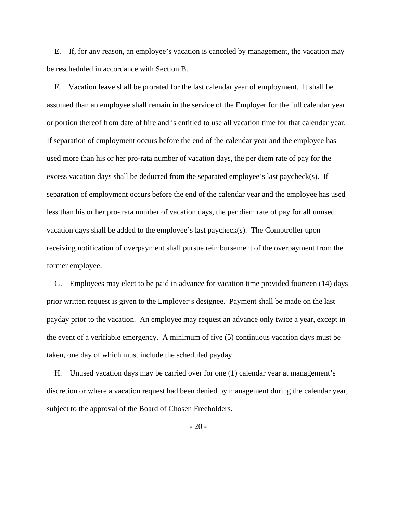E. If, for any reason, an employee's vacation is canceled by management, the vacation may be rescheduled in accordance with Section B.

 F. Vacation leave shall be prorated for the last calendar year of employment. It shall be assumed than an employee shall remain in the service of the Employer for the full calendar year or portion thereof from date of hire and is entitled to use all vacation time for that calendar year. If separation of employment occurs before the end of the calendar year and the employee has used more than his or her pro-rata number of vacation days, the per diem rate of pay for the excess vacation days shall be deducted from the separated employee's last paycheck(s). If separation of employment occurs before the end of the calendar year and the employee has used less than his or her pro- rata number of vacation days, the per diem rate of pay for all unused vacation days shall be added to the employee's last paycheck(s). The Comptroller upon receiving notification of overpayment shall pursue reimbursement of the overpayment from the former employee.

 G. Employees may elect to be paid in advance for vacation time provided fourteen (14) days prior written request is given to the Employer's designee. Payment shall be made on the last payday prior to the vacation. An employee may request an advance only twice a year, except in the event of a verifiable emergency. A minimum of five (5) continuous vacation days must be taken, one day of which must include the scheduled payday.

 H. Unused vacation days may be carried over for one (1) calendar year at management's discretion or where a vacation request had been denied by management during the calendar year, subject to the approval of the Board of Chosen Freeholders.

 $-20-$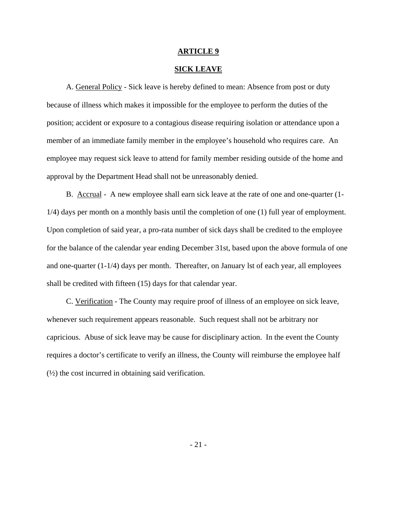### **SICK LEAVE**

 A. General Policy - Sick leave is hereby defined to mean: Absence from post or duty because of illness which makes it impossible for the employee to perform the duties of the position; accident or exposure to a contagious disease requiring isolation or attendance upon a member of an immediate family member in the employee's household who requires care. An employee may request sick leave to attend for family member residing outside of the home and approval by the Department Head shall not be unreasonably denied.

 B. Accrual - A new employee shall earn sick leave at the rate of one and one-quarter (1- 1/4) days per month on a monthly basis until the completion of one (1) full year of employment. Upon completion of said year, a pro-rata number of sick days shall be credited to the employee for the balance of the calendar year ending December 31st, based upon the above formula of one and one-quarter (1-1/4) days per month. Thereafter, on January lst of each year, all employees shall be credited with fifteen (15) days for that calendar year.

 C. Verification - The County may require proof of illness of an employee on sick leave, whenever such requirement appears reasonable. Such request shall not be arbitrary nor capricious. Abuse of sick leave may be cause for disciplinary action. In the event the County requires a doctor's certificate to verify an illness, the County will reimburse the employee half (½) the cost incurred in obtaining said verification.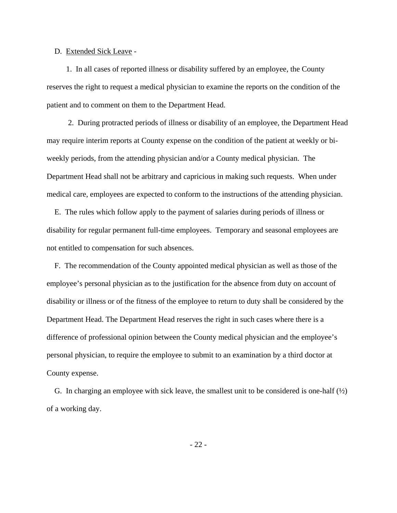### D. Extended Sick Leave -

 1. In all cases of reported illness or disability suffered by an employee, the County reserves the right to request a medical physician to examine the reports on the condition of the patient and to comment on them to the Department Head.

 2. During protracted periods of illness or disability of an employee, the Department Head may require interim reports at County expense on the condition of the patient at weekly or biweekly periods, from the attending physician and/or a County medical physician. The Department Head shall not be arbitrary and capricious in making such requests. When under medical care, employees are expected to conform to the instructions of the attending physician.

 E. The rules which follow apply to the payment of salaries during periods of illness or disability for regular permanent full-time employees. Temporary and seasonal employees are not entitled to compensation for such absences.

 F. The recommendation of the County appointed medical physician as well as those of the employee's personal physician as to the justification for the absence from duty on account of disability or illness or of the fitness of the employee to return to duty shall be considered by the Department Head. The Department Head reserves the right in such cases where there is a difference of professional opinion between the County medical physician and the employee's personal physician, to require the employee to submit to an examination by a third doctor at County expense.

G. In charging an employee with sick leave, the smallest unit to be considered is one-half  $(\frac{1}{2})$ of a working day.

- 22 -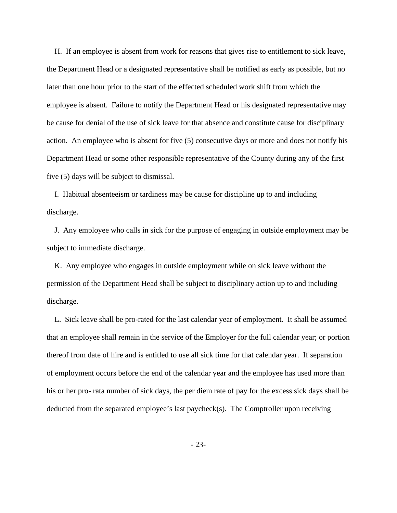H. If an employee is absent from work for reasons that gives rise to entitlement to sick leave, the Department Head or a designated representative shall be notified as early as possible, but no later than one hour prior to the start of the effected scheduled work shift from which the employee is absent. Failure to notify the Department Head or his designated representative may be cause for denial of the use of sick leave for that absence and constitute cause for disciplinary action. An employee who is absent for five (5) consecutive days or more and does not notify his Department Head or some other responsible representative of the County during any of the first five (5) days will be subject to dismissal.

 I. Habitual absenteeism or tardiness may be cause for discipline up to and including discharge.

 J. Any employee who calls in sick for the purpose of engaging in outside employment may be subject to immediate discharge.

 K. Any employee who engages in outside employment while on sick leave without the permission of the Department Head shall be subject to disciplinary action up to and including discharge.

 L. Sick leave shall be pro-rated for the last calendar year of employment. It shall be assumed that an employee shall remain in the service of the Employer for the full calendar year; or portion thereof from date of hire and is entitled to use all sick time for that calendar year. If separation of employment occurs before the end of the calendar year and the employee has used more than his or her pro- rata number of sick days, the per diem rate of pay for the excess sick days shall be deducted from the separated employee's last paycheck(s). The Comptroller upon receiving

- 23-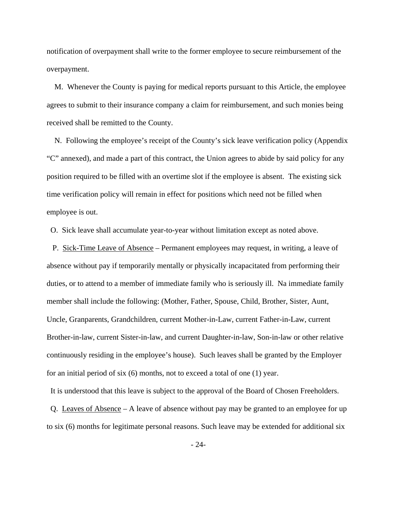notification of overpayment shall write to the former employee to secure reimbursement of the overpayment.

 M. Whenever the County is paying for medical reports pursuant to this Article, the employee agrees to submit to their insurance company a claim for reimbursement, and such monies being received shall be remitted to the County.

 N. Following the employee's receipt of the County's sick leave verification policy (Appendix "C" annexed), and made a part of this contract, the Union agrees to abide by said policy for any position required to be filled with an overtime slot if the employee is absent. The existing sick time verification policy will remain in effect for positions which need not be filled when employee is out.

O. Sick leave shall accumulate year-to-year without limitation except as noted above.

 P. Sick-Time Leave of Absence – Permanent employees may request, in writing, a leave of absence without pay if temporarily mentally or physically incapacitated from performing their duties, or to attend to a member of immediate family who is seriously ill. Na immediate family member shall include the following: (Mother, Father, Spouse, Child, Brother, Sister, Aunt, Uncle, Granparents, Grandchildren, current Mother-in-Law, current Father-in-Law, current Brother-in-law, current Sister-in-law, and current Daughter-in-law, Son-in-law or other relative continuously residing in the employee's house). Such leaves shall be granted by the Employer for an initial period of six (6) months, not to exceed a total of one (1) year.

It is understood that this leave is subject to the approval of the Board of Chosen Freeholders.

 Q. Leaves of Absence – A leave of absence without pay may be granted to an employee for up to six (6) months for legitimate personal reasons. Such leave may be extended for additional six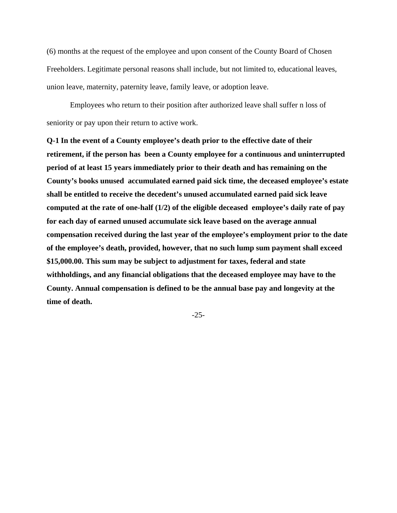(6) months at the request of the employee and upon consent of the County Board of Chosen Freeholders. Legitimate personal reasons shall include, but not limited to, educational leaves, union leave, maternity, paternity leave, family leave, or adoption leave.

 Employees who return to their position after authorized leave shall suffer n loss of seniority or pay upon their return to active work.

**Q-1 In the event of a County employee's death prior to the effective date of their retirement, if the person has been a County employee for a continuous and uninterrupted period of at least 15 years immediately prior to their death and has remaining on the County's books unused accumulated earned paid sick time, the deceased employee's estate shall be entitled to receive the decedent's unused accumulated earned paid sick leave computed at the rate of one-half (1/2) of the eligible deceased employee's daily rate of pay for each day of earned unused accumulate sick leave based on the average annual compensation received during the last year of the employee's employment prior to the date of the employee's death, provided, however, that no such lump sum payment shall exceed \$15,000.00. This sum may be subject to adjustment for taxes, federal and state withholdings, and any financial obligations that the deceased employee may have to the County. Annual compensation is defined to be the annual base pay and longevity at the time of death.** 

-25-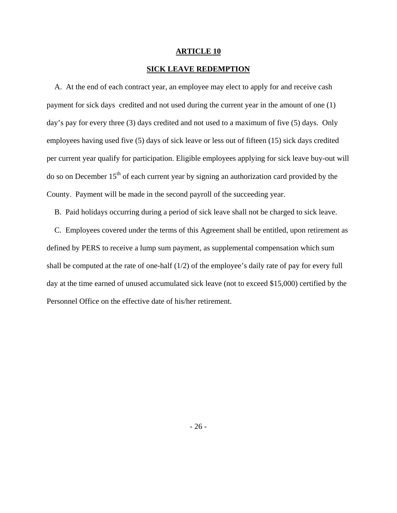## **SICK LEAVE REDEMPTION**

 A. At the end of each contract year, an employee may elect to apply for and receive cash payment for sick days credited and not used during the current year in the amount of one (1) day's pay for every three (3) days credited and not used to a maximum of five (5) days. Only employees having used five (5) days of sick leave or less out of fifteen (15) sick days credited per current year qualify for participation. Eligible employees applying for sick leave buy-out will do so on December 15<sup>th</sup> of each current year by signing an authorization card provided by the County. Payment will be made in the second payroll of the succeeding year.

B. Paid holidays occurring during a period of sick leave shall not be charged to sick leave.

 C. Employees covered under the terms of this Agreement shall be entitled, upon retirement as defined by PERS to receive a lump sum payment, as supplemental compensation which sum shall be computed at the rate of one-half (1/2) of the employee's daily rate of pay for every full day at the time earned of unused accumulated sick leave (not to exceed \$15,000) certified by the Personnel Office on the effective date of his/her retirement.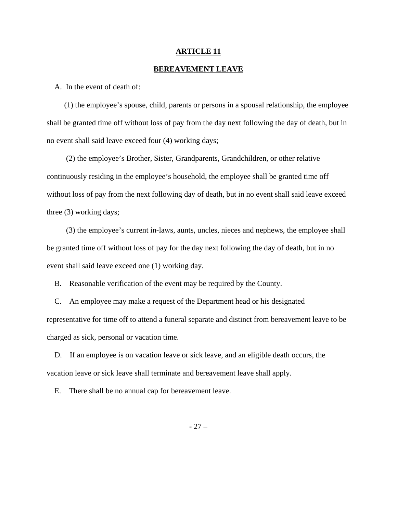### **BEREAVEMENT LEAVE**

A. In the event of death of:

 (1) the employee's spouse, child, parents or persons in a spousal relationship, the employee shall be granted time off without loss of pay from the day next following the day of death, but in no event shall said leave exceed four (4) working days;

 (2) the employee's Brother, Sister, Grandparents, Grandchildren, or other relative continuously residing in the employee's household, the employee shall be granted time off without loss of pay from the next following day of death, but in no event shall said leave exceed three (3) working days;

 (3) the employee's current in-laws, aunts, uncles, nieces and nephews, the employee shall be granted time off without loss of pay for the day next following the day of death, but in no event shall said leave exceed one (1) working day.

B. Reasonable verification of the event may be required by the County.

 C. An employee may make a request of the Department head or his designated representative for time off to attend a funeral separate and distinct from bereavement leave to be charged as sick, personal or vacation time.

 D. If an employee is on vacation leave or sick leave, and an eligible death occurs, the vacation leave or sick leave shall terminate and bereavement leave shall apply.

E. There shall be no annual cap for bereavement leave.

- 27 –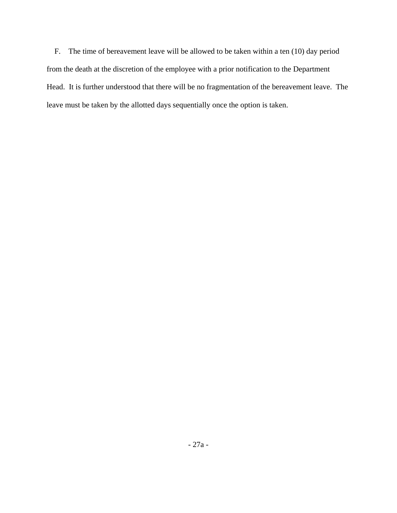F. The time of bereavement leave will be allowed to be taken within a ten (10) day period from the death at the discretion of the employee with a prior notification to the Department Head. It is further understood that there will be no fragmentation of the bereavement leave. The leave must be taken by the allotted days sequentially once the option is taken.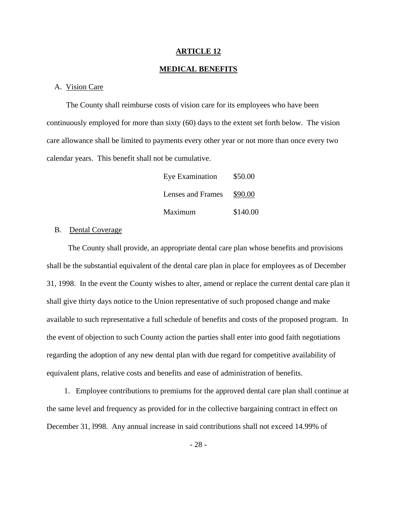### **MEDICAL BENEFITS**

#### A. Vision Care

 The County shall reimburse costs of vision care for its employees who have been continuously employed for more than sixty (60) days to the extent set forth below. The vision care allowance shall be limited to payments every other year or not more than once every two calendar years. This benefit shall not be cumulative.

| Eye Examination   | \$50.00  |
|-------------------|----------|
| Lenses and Frames | \$90.00  |
| Maximum           | \$140.00 |

### B. Dental Coverage

 The County shall provide, an appropriate dental care plan whose benefits and provisions shall be the substantial equivalent of the dental care plan in place for employees as of December 31, 1998. In the event the County wishes to alter, amend or replace the current dental care plan it shall give thirty days notice to the Union representative of such proposed change and make available to such representative a full schedule of benefits and costs of the proposed program. In the event of objection to such County action the parties shall enter into good faith negotiations regarding the adoption of any new dental plan with due regard for competitive availability of equivalent plans, relative costs and benefits and ease of administration of benefits.

 1. Employee contributions to premiums for the approved dental care plan shall continue at the same level and frequency as provided for in the collective bargaining contract in effect on December 31, l998. Any annual increase in said contributions shall not exceed 14.99% of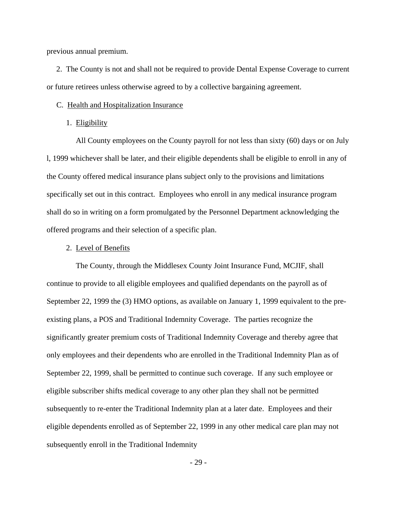previous annual premium.

 2. The County is not and shall not be required to provide Dental Expense Coverage to current or future retirees unless otherwise agreed to by a collective bargaining agreement.

#### C. Health and Hospitalization Insurance

#### 1. Eligibility

 All County employees on the County payroll for not less than sixty (60) days or on July l, 1999 whichever shall be later, and their eligible dependents shall be eligible to enroll in any of the County offered medical insurance plans subject only to the provisions and limitations specifically set out in this contract. Employees who enroll in any medical insurance program shall do so in writing on a form promulgated by the Personnel Department acknowledging the offered programs and their selection of a specific plan.

### 2. Level of Benefits

 The County, through the Middlesex County Joint Insurance Fund, MCJIF, shall continue to provide to all eligible employees and qualified dependants on the payroll as of September 22, 1999 the (3) HMO options, as available on January 1, 1999 equivalent to the preexisting plans, a POS and Traditional Indemnity Coverage. The parties recognize the significantly greater premium costs of Traditional Indemnity Coverage and thereby agree that only employees and their dependents who are enrolled in the Traditional Indemnity Plan as of September 22, 1999, shall be permitted to continue such coverage. If any such employee or eligible subscriber shifts medical coverage to any other plan they shall not be permitted subsequently to re-enter the Traditional Indemnity plan at a later date. Employees and their eligible dependents enrolled as of September 22, 1999 in any other medical care plan may not subsequently enroll in the Traditional Indemnity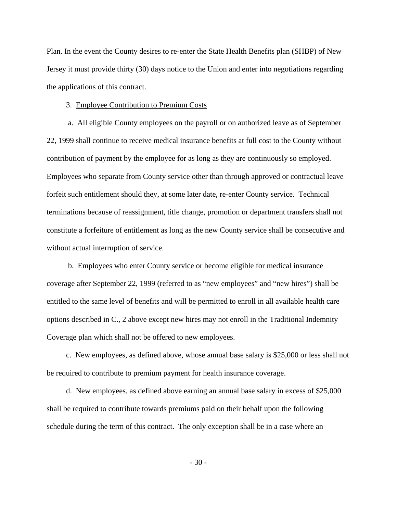Plan. In the event the County desires to re-enter the State Health Benefits plan (SHBP) of New Jersey it must provide thirty (30) days notice to the Union and enter into negotiations regarding the applications of this contract.

#### 3. Employee Contribution to Premium Costs

 a. All eligible County employees on the payroll or on authorized leave as of September 22, 1999 shall continue to receive medical insurance benefits at full cost to the County without contribution of payment by the employee for as long as they are continuously so employed. Employees who separate from County service other than through approved or contractual leave forfeit such entitlement should they, at some later date, re-enter County service. Technical terminations because of reassignment, title change, promotion or department transfers shall not constitute a forfeiture of entitlement as long as the new County service shall be consecutive and without actual interruption of service.

 b. Employees who enter County service or become eligible for medical insurance coverage after September 22, 1999 (referred to as "new employees" and "new hires") shall be entitled to the same level of benefits and will be permitted to enroll in all available health care options described in C., 2 above except new hires may not enroll in the Traditional Indemnity Coverage plan which shall not be offered to new employees.

 c. New employees, as defined above, whose annual base salary is \$25,000 or less shall not be required to contribute to premium payment for health insurance coverage.

 d. New employees, as defined above earning an annual base salary in excess of \$25,000 shall be required to contribute towards premiums paid on their behalf upon the following schedule during the term of this contract. The only exception shall be in a case where an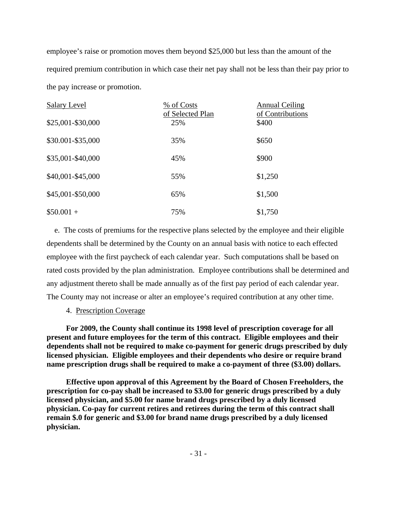employee's raise or promotion moves them beyond \$25,000 but less than the amount of the required premium contribution in which case their net pay shall not be less than their pay prior to the pay increase or promotion.

| Salary Level      | % of Costs<br>of Selected Plan | <b>Annual Ceiling</b><br>of Contributions |
|-------------------|--------------------------------|-------------------------------------------|
| \$25,001-\$30,000 | 25%                            | \$400                                     |
| \$30.001-\$35,000 | 35%                            | \$650                                     |
| \$35,001-\$40,000 | 45%                            | \$900                                     |
| \$40,001-\$45,000 | 55%                            | \$1,250                                   |
| \$45,001-\$50,000 | 65%                            | \$1,500                                   |
| $$50.001 +$       | 75%                            | \$1,750                                   |

 e. The costs of premiums for the respective plans selected by the employee and their eligible dependents shall be determined by the County on an annual basis with notice to each effected employee with the first paycheck of each calendar year. Such computations shall be based on rated costs provided by the plan administration. Employee contributions shall be determined and any adjustment thereto shall be made annually as of the first pay period of each calendar year. The County may not increase or alter an employee's required contribution at any other time.

## 4. Prescription Coverage

**For 2009, the County shall continue its 1998 level of prescription coverage for all present and future employees for the term of this contract. Eligible employees and their dependents shall not be required to make co-payment for generic drugs prescribed by duly licensed physician. Eligible employees and their dependents who desire or require brand name prescription drugs shall be required to make a co-payment of three (\$3.00) dollars.** 

**Effective upon approval of this Agreement by the Board of Chosen Freeholders, the prescription for co-pay shall be increased to \$3.00 for generic drugs prescribed by a duly licensed physician, and \$5.00 for name brand drugs prescribed by a duly licensed physician. Co-pay for current retires and retirees during the term of this contract shall remain \$.0 for generic and \$3.00 for brand name drugs prescribed by a duly licensed physician.**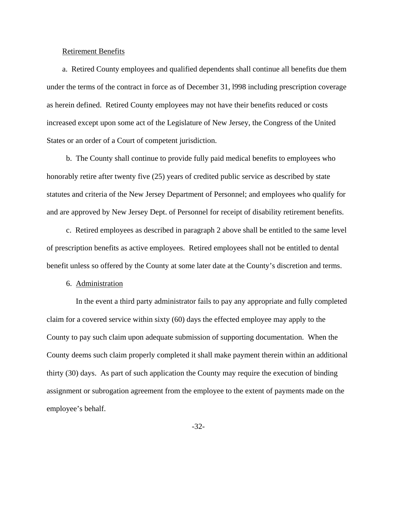#### Retirement Benefits

 a. Retired County employees and qualified dependents shall continue all benefits due them under the terms of the contract in force as of December 31, l998 including prescription coverage as herein defined. Retired County employees may not have their benefits reduced or costs increased except upon some act of the Legislature of New Jersey, the Congress of the United States or an order of a Court of competent jurisdiction.

 b. The County shall continue to provide fully paid medical benefits to employees who honorably retire after twenty five (25) years of credited public service as described by state statutes and criteria of the New Jersey Department of Personnel; and employees who qualify for and are approved by New Jersey Dept. of Personnel for receipt of disability retirement benefits.

 c. Retired employees as described in paragraph 2 above shall be entitled to the same level of prescription benefits as active employees. Retired employees shall not be entitled to dental benefit unless so offered by the County at some later date at the County's discretion and terms.

#### 6. Administration

 In the event a third party administrator fails to pay any appropriate and fully completed claim for a covered service within sixty (60) days the effected employee may apply to the County to pay such claim upon adequate submission of supporting documentation. When the County deems such claim properly completed it shall make payment therein within an additional thirty (30) days. As part of such application the County may require the execution of binding assignment or subrogation agreement from the employee to the extent of payments made on the employee's behalf.

-32-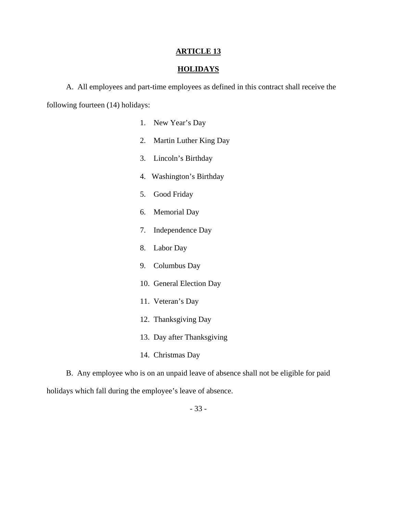# **HOLIDAYS**

 A. All employees and part-time employees as defined in this contract shall receive the following fourteen (14) holidays:

- 1. New Year's Day
- 2. Martin Luther King Day
- 3. Lincoln's Birthday
- 4. Washington's Birthday
- 5. Good Friday
- 6. Memorial Day
- 7. Independence Day
- 8. Labor Day
- 9. Columbus Day
- 10. General Election Day
- 11. Veteran's Day
- 12. Thanksgiving Day
- 13. Day after Thanksgiving
- 14. Christmas Day

 B. Any employee who is on an unpaid leave of absence shall not be eligible for paid holidays which fall during the employee's leave of absence.

- 33 -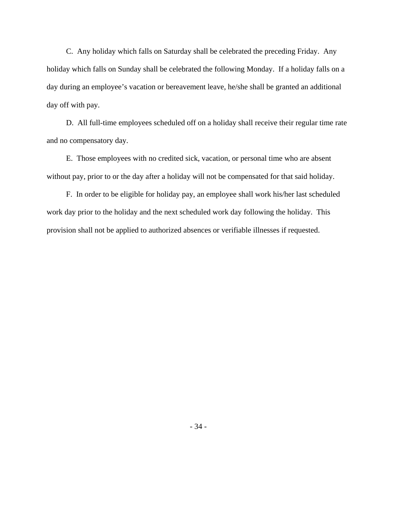C. Any holiday which falls on Saturday shall be celebrated the preceding Friday. Any holiday which falls on Sunday shall be celebrated the following Monday. If a holiday falls on a day during an employee's vacation or bereavement leave, he/she shall be granted an additional day off with pay.

 D. All full-time employees scheduled off on a holiday shall receive their regular time rate and no compensatory day.

 E. Those employees with no credited sick, vacation, or personal time who are absent without pay, prior to or the day after a holiday will not be compensated for that said holiday.

 F. In order to be eligible for holiday pay, an employee shall work his/her last scheduled work day prior to the holiday and the next scheduled work day following the holiday. This provision shall not be applied to authorized absences or verifiable illnesses if requested.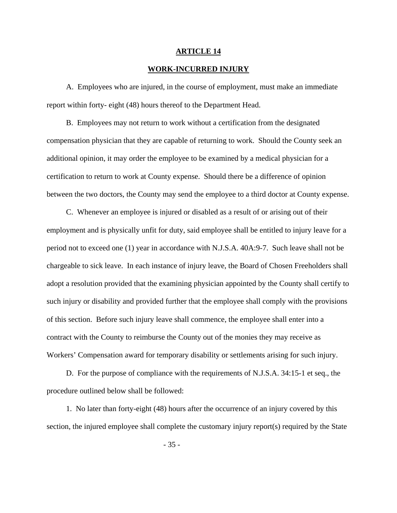#### **WORK-INCURRED INJURY**

 A. Employees who are injured, in the course of employment, must make an immediate report within forty- eight (48) hours thereof to the Department Head.

 B. Employees may not return to work without a certification from the designated compensation physician that they are capable of returning to work. Should the County seek an additional opinion, it may order the employee to be examined by a medical physician for a certification to return to work at County expense. Should there be a difference of opinion between the two doctors, the County may send the employee to a third doctor at County expense.

 C. Whenever an employee is injured or disabled as a result of or arising out of their employment and is physically unfit for duty, said employee shall be entitled to injury leave for a period not to exceed one (1) year in accordance with N.J.S.A. 40A:9-7. Such leave shall not be chargeable to sick leave. In each instance of injury leave, the Board of Chosen Freeholders shall adopt a resolution provided that the examining physician appointed by the County shall certify to such injury or disability and provided further that the employee shall comply with the provisions of this section. Before such injury leave shall commence, the employee shall enter into a contract with the County to reimburse the County out of the monies they may receive as Workers' Compensation award for temporary disability or settlements arising for such injury.

 D. For the purpose of compliance with the requirements of N.J.S.A. 34:15-1 et seq., the procedure outlined below shall be followed:

 1. No later than forty-eight (48) hours after the occurrence of an injury covered by this section, the injured employee shall complete the customary injury report(s) required by the State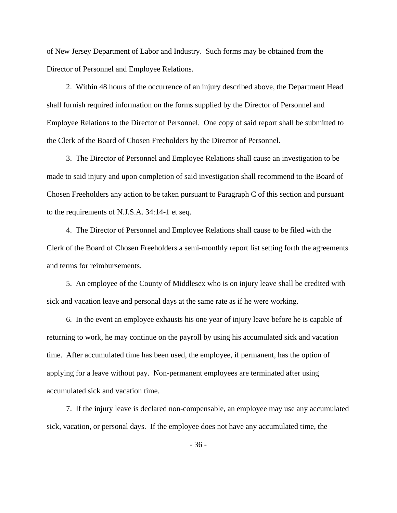of New Jersey Department of Labor and Industry. Such forms may be obtained from the Director of Personnel and Employee Relations.

 2. Within 48 hours of the occurrence of an injury described above, the Department Head shall furnish required information on the forms supplied by the Director of Personnel and Employee Relations to the Director of Personnel. One copy of said report shall be submitted to the Clerk of the Board of Chosen Freeholders by the Director of Personnel.

 3. The Director of Personnel and Employee Relations shall cause an investigation to be made to said injury and upon completion of said investigation shall recommend to the Board of Chosen Freeholders any action to be taken pursuant to Paragraph C of this section and pursuant to the requirements of N.J.S.A. 34:14-1 et seq.

 4. The Director of Personnel and Employee Relations shall cause to be filed with the Clerk of the Board of Chosen Freeholders a semi-monthly report list setting forth the agreements and terms for reimbursements.

 5. An employee of the County of Middlesex who is on injury leave shall be credited with sick and vacation leave and personal days at the same rate as if he were working.

 6. In the event an employee exhausts his one year of injury leave before he is capable of returning to work, he may continue on the payroll by using his accumulated sick and vacation time. After accumulated time has been used, the employee, if permanent, has the option of applying for a leave without pay. Non-permanent employees are terminated after using accumulated sick and vacation time.

 7. If the injury leave is declared non-compensable, an employee may use any accumulated sick, vacation, or personal days. If the employee does not have any accumulated time, the

- 36 -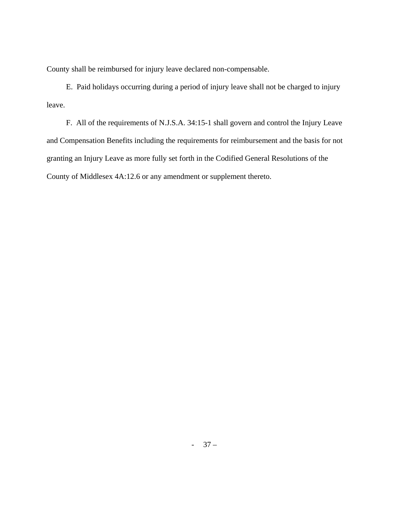County shall be reimbursed for injury leave declared non-compensable.

 E. Paid holidays occurring during a period of injury leave shall not be charged to injury leave.

 F. All of the requirements of N.J.S.A. 34:15-1 shall govern and control the Injury Leave and Compensation Benefits including the requirements for reimbursement and the basis for not granting an Injury Leave as more fully set forth in the Codified General Resolutions of the County of Middlesex 4A:12.6 or any amendment or supplement thereto.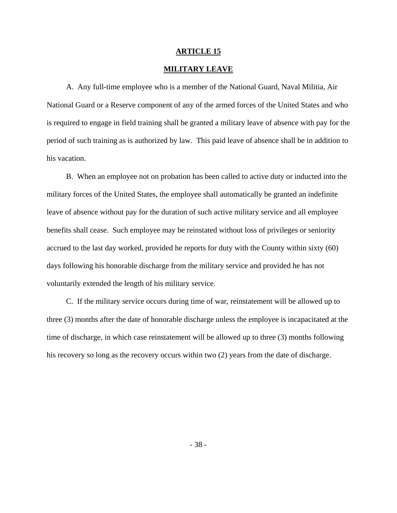## **MILITARY LEAVE**

 A. Any full-time employee who is a member of the National Guard, Naval Militia, Air National Guard or a Reserve component of any of the armed forces of the United States and who is required to engage in field training shall be granted a military leave of absence with pay for the period of such training as is authorized by law. This paid leave of absence shall be in addition to his vacation.

 B. When an employee not on probation has been called to active duty or inducted into the military forces of the United States, the employee shall automatically be granted an indefinite leave of absence without pay for the duration of such active military service and all employee benefits shall cease. Such employee may be reinstated without loss of privileges or seniority accrued to the last day worked, provided he reports for duty with the County within sixty (60) days following his honorable discharge from the military service and provided he has not voluntarily extended the length of his military service.

 C. If the military service occurs during time of war, reinstatement will be allowed up to three (3) months after the date of honorable discharge unless the employee is incapacitated at the time of discharge, in which case reinstatement will be allowed up to three (3) months following his recovery so long as the recovery occurs within two (2) years from the date of discharge.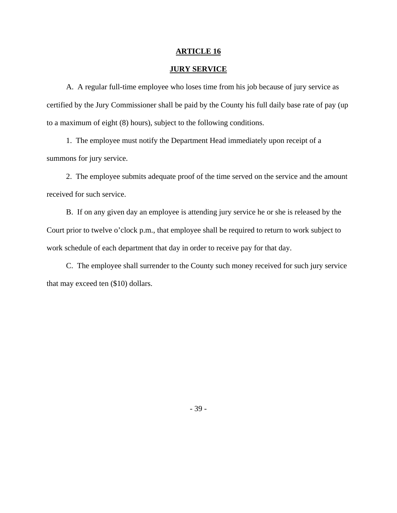## **JURY SERVICE**

 A. A regular full-time employee who loses time from his job because of jury service as certified by the Jury Commissioner shall be paid by the County his full daily base rate of pay (up to a maximum of eight (8) hours), subject to the following conditions.

 1. The employee must notify the Department Head immediately upon receipt of a summons for jury service.

 2. The employee submits adequate proof of the time served on the service and the amount received for such service.

 B. If on any given day an employee is attending jury service he or she is released by the Court prior to twelve o'clock p.m., that employee shall be required to return to work subject to work schedule of each department that day in order to receive pay for that day.

 C. The employee shall surrender to the County such money received for such jury service that may exceed ten (\$10) dollars.

- 39 -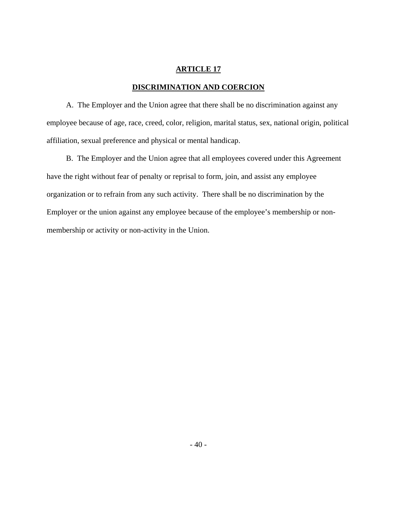# **DISCRIMINATION AND COERCION**

 A. The Employer and the Union agree that there shall be no discrimination against any employee because of age, race, creed, color, religion, marital status, sex, national origin, political affiliation, sexual preference and physical or mental handicap.

 B. The Employer and the Union agree that all employees covered under this Agreement have the right without fear of penalty or reprisal to form, join, and assist any employee organization or to refrain from any such activity. There shall be no discrimination by the Employer or the union against any employee because of the employee's membership or nonmembership or activity or non-activity in the Union.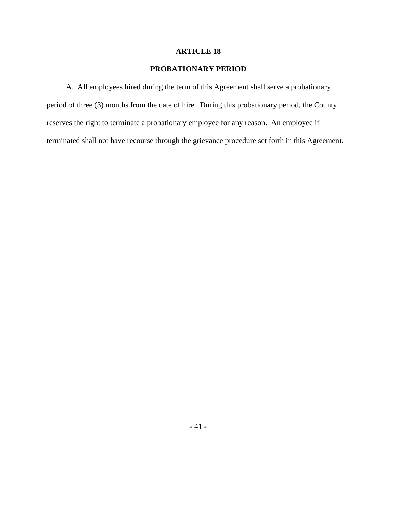## **PROBATIONARY PERIOD**

 A. All employees hired during the term of this Agreement shall serve a probationary period of three (3) months from the date of hire. During this probationary period, the County reserves the right to terminate a probationary employee for any reason. An employee if terminated shall not have recourse through the grievance procedure set forth in this Agreement.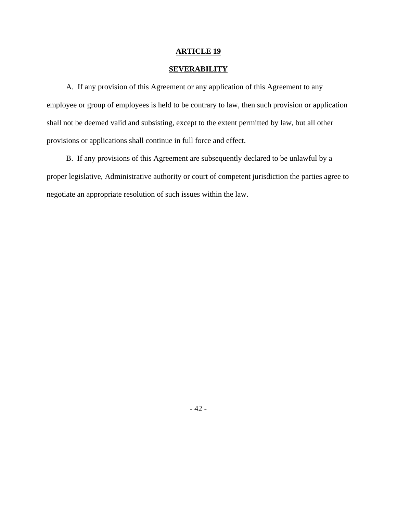# **SEVERABILITY**

 A. If any provision of this Agreement or any application of this Agreement to any employee or group of employees is held to be contrary to law, then such provision or application shall not be deemed valid and subsisting, except to the extent permitted by law, but all other provisions or applications shall continue in full force and effect.

 B. If any provisions of this Agreement are subsequently declared to be unlawful by a proper legislative, Administrative authority or court of competent jurisdiction the parties agree to negotiate an appropriate resolution of such issues within the law.

- 42 -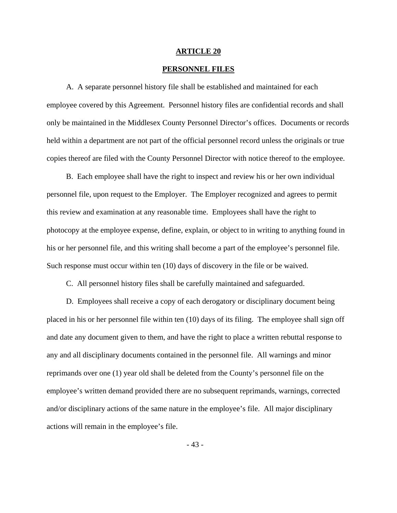#### **PERSONNEL FILES**

 A. A separate personnel history file shall be established and maintained for each employee covered by this Agreement. Personnel history files are confidential records and shall only be maintained in the Middlesex County Personnel Director's offices. Documents or records held within a department are not part of the official personnel record unless the originals or true copies thereof are filed with the County Personnel Director with notice thereof to the employee.

 B. Each employee shall have the right to inspect and review his or her own individual personnel file, upon request to the Employer. The Employer recognized and agrees to permit this review and examination at any reasonable time. Employees shall have the right to photocopy at the employee expense, define, explain, or object to in writing to anything found in his or her personnel file, and this writing shall become a part of the employee's personnel file. Such response must occur within ten (10) days of discovery in the file or be waived.

C. All personnel history files shall be carefully maintained and safeguarded.

 D. Employees shall receive a copy of each derogatory or disciplinary document being placed in his or her personnel file within ten (10) days of its filing. The employee shall sign off and date any document given to them, and have the right to place a written rebuttal response to any and all disciplinary documents contained in the personnel file. All warnings and minor reprimands over one (1) year old shall be deleted from the County's personnel file on the employee's written demand provided there are no subsequent reprimands, warnings, corrected and/or disciplinary actions of the same nature in the employee's file. All major disciplinary actions will remain in the employee's file.

- 43 -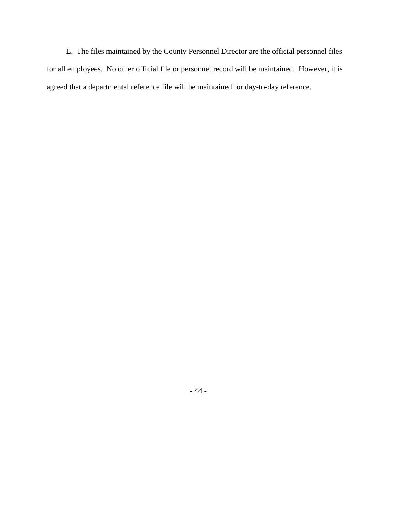E. The files maintained by the County Personnel Director are the official personnel files for all employees. No other official file or personnel record will be maintained. However, it is agreed that a departmental reference file will be maintained for day-to-day reference.

- 44 -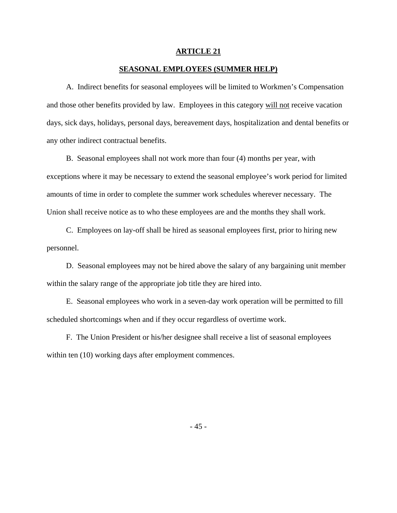#### **SEASONAL EMPLOYEES (SUMMER HELP)**

 A. Indirect benefits for seasonal employees will be limited to Workmen's Compensation and those other benefits provided by law. Employees in this category will not receive vacation days, sick days, holidays, personal days, bereavement days, hospitalization and dental benefits or any other indirect contractual benefits.

 B. Seasonal employees shall not work more than four (4) months per year, with exceptions where it may be necessary to extend the seasonal employee's work period for limited amounts of time in order to complete the summer work schedules wherever necessary. The Union shall receive notice as to who these employees are and the months they shall work.

 C. Employees on lay-off shall be hired as seasonal employees first, prior to hiring new personnel.

 D. Seasonal employees may not be hired above the salary of any bargaining unit member within the salary range of the appropriate job title they are hired into.

 E. Seasonal employees who work in a seven-day work operation will be permitted to fill scheduled shortcomings when and if they occur regardless of overtime work.

 F. The Union President or his/her designee shall receive a list of seasonal employees within ten (10) working days after employment commences.

- 45 -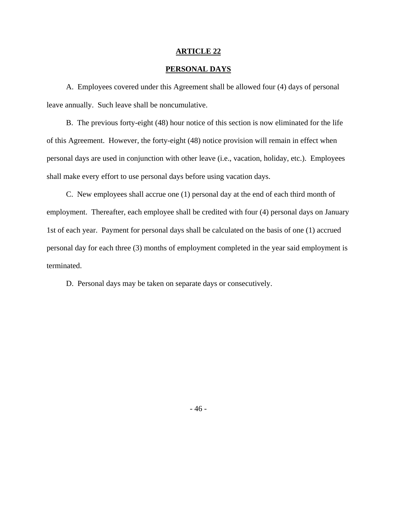## **PERSONAL DAYS**

 A. Employees covered under this Agreement shall be allowed four (4) days of personal leave annually. Such leave shall be noncumulative.

 B. The previous forty-eight (48) hour notice of this section is now eliminated for the life of this Agreement. However, the forty-eight (48) notice provision will remain in effect when personal days are used in conjunction with other leave (i.e., vacation, holiday, etc.). Employees shall make every effort to use personal days before using vacation days.

 C. New employees shall accrue one (1) personal day at the end of each third month of employment. Thereafter, each employee shall be credited with four (4) personal days on January 1st of each year. Payment for personal days shall be calculated on the basis of one (1) accrued personal day for each three (3) months of employment completed in the year said employment is terminated.

D. Personal days may be taken on separate days or consecutively.

- 46 -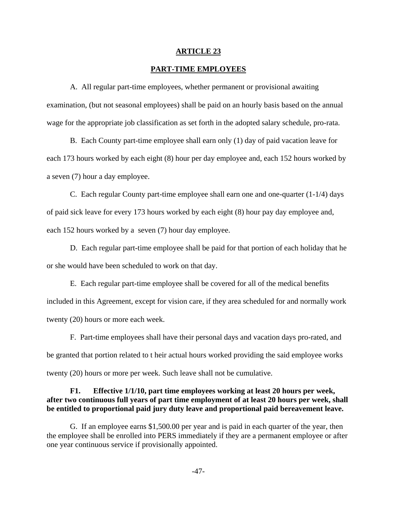#### **PART-TIME EMPLOYEES**

 A. All regular part-time employees, whether permanent or provisional awaiting examination, (but not seasonal employees) shall be paid on an hourly basis based on the annual wage for the appropriate job classification as set forth in the adopted salary schedule, pro-rata.

 B. Each County part-time employee shall earn only (1) day of paid vacation leave for each 173 hours worked by each eight (8) hour per day employee and, each 152 hours worked by a seven (7) hour a day employee.

 C. Each regular County part-time employee shall earn one and one-quarter (1-1/4) days of paid sick leave for every 173 hours worked by each eight (8) hour pay day employee and, each 152 hours worked by a seven (7) hour day employee.

 D. Each regular part-time employee shall be paid for that portion of each holiday that he or she would have been scheduled to work on that day.

 E. Each regular part-time employee shall be covered for all of the medical benefits included in this Agreement, except for vision care, if they area scheduled for and normally work twenty (20) hours or more each week.

 F. Part-time employees shall have their personal days and vacation days pro-rated, and be granted that portion related to t heir actual hours worked providing the said employee works twenty (20) hours or more per week. Such leave shall not be cumulative.

## **F1. Effective 1/1/10, part time employees working at least 20 hours per week, after two continuous full years of part time employment of at least 20 hours per week, shall be entitled to proportional paid jury duty leave and proportional paid bereavement leave.**

G. If an employee earns \$1,500.00 per year and is paid in each quarter of the year, then the employee shall be enrolled into PERS immediately if they are a permanent employee or after one year continuous service if provisionally appointed.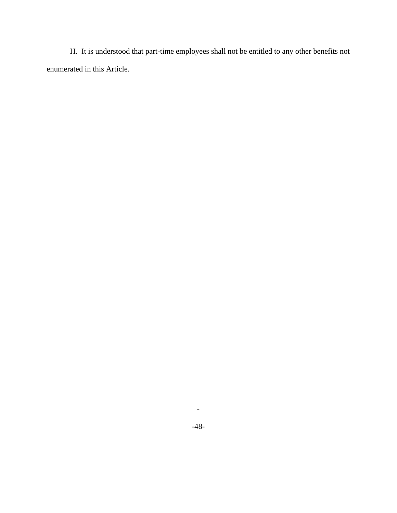H. It is understood that part-time employees shall not be entitled to any other benefits not enumerated in this Article.

-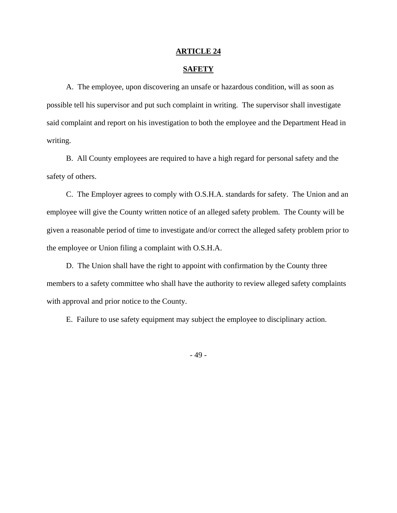#### **SAFETY**

 A. The employee, upon discovering an unsafe or hazardous condition, will as soon as possible tell his supervisor and put such complaint in writing. The supervisor shall investigate said complaint and report on his investigation to both the employee and the Department Head in writing.

 B. All County employees are required to have a high regard for personal safety and the safety of others.

 C. The Employer agrees to comply with O.S.H.A. standards for safety. The Union and an employee will give the County written notice of an alleged safety problem. The County will be given a reasonable period of time to investigate and/or correct the alleged safety problem prior to the employee or Union filing a complaint with O.S.H.A.

 D. The Union shall have the right to appoint with confirmation by the County three members to a safety committee who shall have the authority to review alleged safety complaints with approval and prior notice to the County.

E. Failure to use safety equipment may subject the employee to disciplinary action.

- 49 -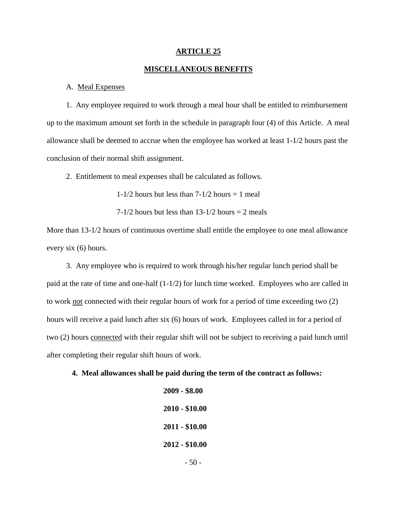#### **MISCELLANEOUS BENEFITS**

#### A. Meal Expenses

 1. Any employee required to work through a meal hour shall be entitled to reimbursement up to the maximum amount set forth in the schedule in paragraph four (4) of this Article. A meal allowance shall be deemed to accrue when the employee has worked at least 1-1/2 hours past the conclusion of their normal shift assignment.

2. Entitlement to meal expenses shall be calculated as follows.

 $1-1/2$  hours but less than  $7-1/2$  hours  $= 1$  meal

 $7-1/2$  hours but less than  $13-1/2$  hours  $= 2$  meals

More than 13-1/2 hours of continuous overtime shall entitle the employee to one meal allowance every six (6) hours.

 3. Any employee who is required to work through his/her regular lunch period shall be paid at the rate of time and one-half (1-1/2) for lunch time worked. Employees who are called in to work not connected with their regular hours of work for a period of time exceeding two (2) hours will receive a paid lunch after six (6) hours of work. Employees called in for a period of two (2) hours connected with their regular shift will not be subject to receiving a paid lunch until after completing their regular shift hours of work.

#### **4. Meal allowances shall be paid during the term of the contract as follows:**

**2009 - \$8.00 2010 - \$10.00 2011 - \$10.00 2012 - \$10.00** 

 $-50$  -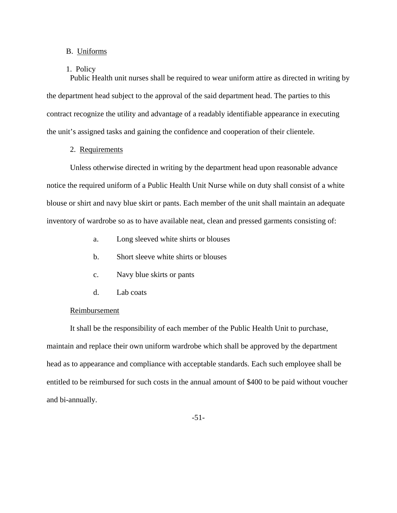## B. Uniforms

#### 1. Policy

 Public Health unit nurses shall be required to wear uniform attire as directed in writing by the department head subject to the approval of the said department head. The parties to this contract recognize the utility and advantage of a readably identifiable appearance in executing the unit's assigned tasks and gaining the confidence and cooperation of their clientele.

## 2. Requirements

 Unless otherwise directed in writing by the department head upon reasonable advance notice the required uniform of a Public Health Unit Nurse while on duty shall consist of a white blouse or shirt and navy blue skirt or pants. Each member of the unit shall maintain an adequate inventory of wardrobe so as to have available neat, clean and pressed garments consisting of:

- a. Long sleeved white shirts or blouses
- b. Short sleeve white shirts or blouses
- c. Navy blue skirts or pants
- d. Lab coats

#### Reimbursement

 It shall be the responsibility of each member of the Public Health Unit to purchase, maintain and replace their own uniform wardrobe which shall be approved by the department head as to appearance and compliance with acceptable standards. Each such employee shall be entitled to be reimbursed for such costs in the annual amount of \$400 to be paid without voucher and bi-annually.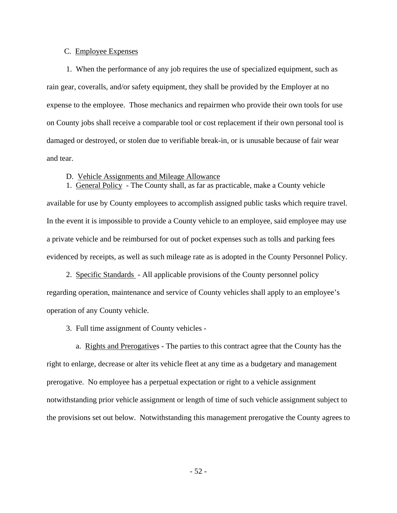## C. Employee Expenses

 1. When the performance of any job requires the use of specialized equipment, such as rain gear, coveralls, and/or safety equipment, they shall be provided by the Employer at no expense to the employee. Those mechanics and repairmen who provide their own tools for use on County jobs shall receive a comparable tool or cost replacement if their own personal tool is damaged or destroyed, or stolen due to verifiable break-in, or is unusable because of fair wear and tear.

#### D. Vehicle Assignments and Mileage Allowance

 1. General Policy - The County shall, as far as practicable, make a County vehicle available for use by County employees to accomplish assigned public tasks which require travel. In the event it is impossible to provide a County vehicle to an employee, said employee may use a private vehicle and be reimbursed for out of pocket expenses such as tolls and parking fees evidenced by receipts, as well as such mileage rate as is adopted in the County Personnel Policy.

 2. Specific Standards - All applicable provisions of the County personnel policy regarding operation, maintenance and service of County vehicles shall apply to an employee's operation of any County vehicle.

3. Full time assignment of County vehicles -

 a. Rights and Prerogatives - The parties to this contract agree that the County has the right to enlarge, decrease or alter its vehicle fleet at any time as a budgetary and management prerogative. No employee has a perpetual expectation or right to a vehicle assignment notwithstanding prior vehicle assignment or length of time of such vehicle assignment subject to the provisions set out below. Notwithstanding this management prerogative the County agrees to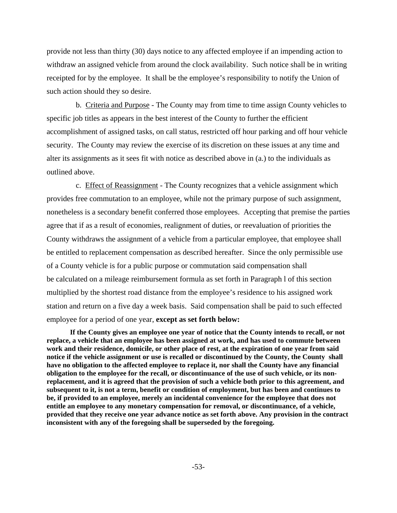provide not less than thirty (30) days notice to any affected employee if an impending action to withdraw an assigned vehicle from around the clock availability. Such notice shall be in writing receipted for by the employee. It shall be the employee's responsibility to notify the Union of such action should they so desire.

 b. Criteria and Purpose - The County may from time to time assign County vehicles to specific job titles as appears in the best interest of the County to further the efficient accomplishment of assigned tasks, on call status, restricted off hour parking and off hour vehicle security. The County may review the exercise of its discretion on these issues at any time and alter its assignments as it sees fit with notice as described above in (a.) to the individuals as outlined above.

 c. Effect of Reassignment - The County recognizes that a vehicle assignment which provides free commutation to an employee, while not the primary purpose of such assignment, nonetheless is a secondary benefit conferred those employees. Accepting that premise the parties agree that if as a result of economies, realignment of duties, or reevaluation of priorities the County withdraws the assignment of a vehicle from a particular employee, that employee shall be entitled to replacement compensation as described hereafter. Since the only permissible use of a County vehicle is for a public purpose or commutation said compensation shall be calculated on a mileage reimbursement formula as set forth in Paragraph l of this section multiplied by the shortest road distance from the employee's residence to his assigned work station and return on a five day a week basis. Said compensation shall be paid to such effected employee for a period of one year, **except as set forth below:**

**If the County gives an employee one year of notice that the County intends to recall, or not replace, a vehicle that an employee has been assigned at work, and has used to commute between work and their residence, domicile, or other place of rest, at the expiration of one year from said notice if the vehicle assignment or use is recalled or discontinued by the County, the County shall have no obligation to the affected employee to replace it, nor shall the County have any financial obligation to the employee for the recall, or discontinuance of the use of such vehicle, or its nonreplacement, and it is agreed that the provision of such a vehicle both prior to this agreement, and subsequent to it, is not a term, benefit or condition of employment, but has been and continues to be, if provided to an employee, merely an incidental convenience for the employee that does not entitle an employee to any monetary compensation for removal, or discontinuance, of a vehicle, provided that they receive one year advance notice as set forth above. Any provision in the contract inconsistent with any of the foregoing shall be superseded by the foregoing.**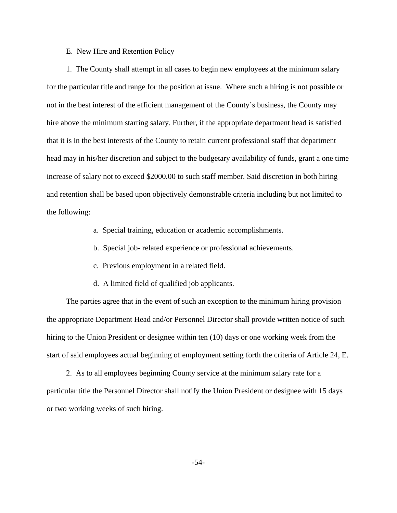## E. New Hire and Retention Policy

 1. The County shall attempt in all cases to begin new employees at the minimum salary for the particular title and range for the position at issue. Where such a hiring is not possible or not in the best interest of the efficient management of the County's business, the County may hire above the minimum starting salary. Further, if the appropriate department head is satisfied that it is in the best interests of the County to retain current professional staff that department head may in his/her discretion and subject to the budgetary availability of funds, grant a one time increase of salary not to exceed \$2000.00 to such staff member. Said discretion in both hiring and retention shall be based upon objectively demonstrable criteria including but not limited to the following:

- a. Special training, education or academic accomplishments.
- b. Special job- related experience or professional achievements.
- c. Previous employment in a related field.
- d. A limited field of qualified job applicants.

 The parties agree that in the event of such an exception to the minimum hiring provision the appropriate Department Head and/or Personnel Director shall provide written notice of such hiring to the Union President or designee within ten (10) days or one working week from the start of said employees actual beginning of employment setting forth the criteria of Article 24, E.

 2. As to all employees beginning County service at the minimum salary rate for a particular title the Personnel Director shall notify the Union President or designee with 15 days or two working weeks of such hiring.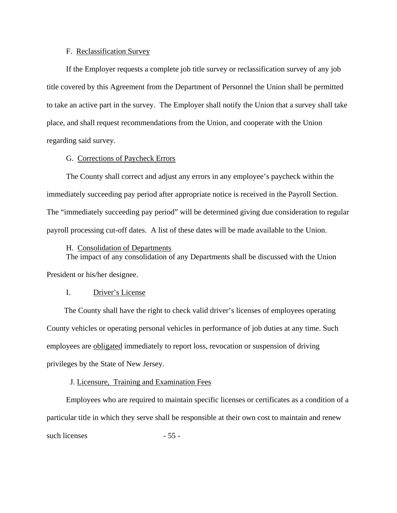## F. Reclassification Survey

 If the Employer requests a complete job title survey or reclassification survey of any job title covered by this Agreement from the Department of Personnel the Union shall be permitted to take an active part in the survey. The Employer shall notify the Union that a survey shall take place, and shall request recommendations from the Union, and cooperate with the Union regarding said survey.

#### G. Corrections of Paycheck Errors

 The County shall correct and adjust any errors in any employee's paycheck within the immediately succeeding pay period after appropriate notice is received in the Payroll Section. The "immediately succeeding pay period" will be determined giving due consideration to regular payroll processing cut-off dates. A list of these dates will be made available to the Union.

#### H. Consolidation of Departments

 The impact of any consolidation of any Departments shall be discussed with the Union President or his/her designee.

## I. Driver's License

 The County shall have the right to check valid driver's licenses of employees operating County vehicles or operating personal vehicles in performance of job duties at any time. Such employees are obligated immediately to report loss, revocation or suspension of driving privileges by the State of New Jersey.

#### J. Licensure, Training and Examination Fees

 Employees who are required to maintain specific licenses or certificates as a condition of a particular title in which they serve shall be responsible at their own cost to maintain and renew such licenses  $-55$  -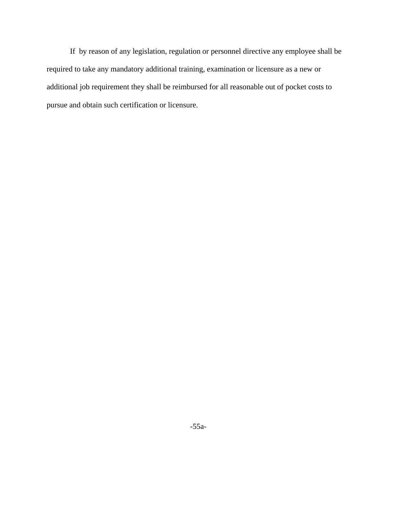If by reason of any legislation, regulation or personnel directive any employee shall be required to take any mandatory additional training, examination or licensure as a new or additional job requirement they shall be reimbursed for all reasonable out of pocket costs to pursue and obtain such certification or licensure.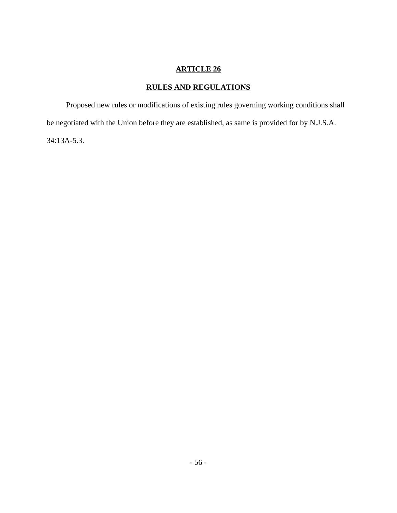# **RULES AND REGULATIONS**

 Proposed new rules or modifications of existing rules governing working conditions shall be negotiated with the Union before they are established, as same is provided for by N.J.S.A. 34:13A-5.3.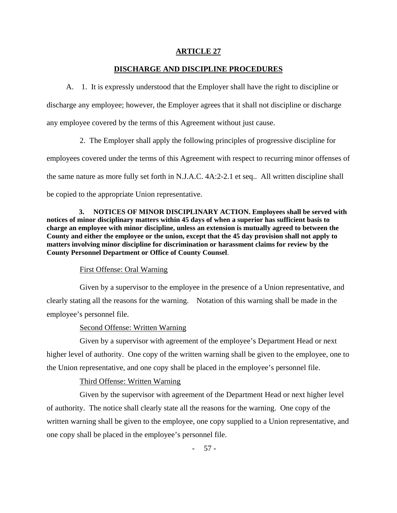## **DISCHARGE AND DISCIPLINE PROCEDURES**

 A. 1. It is expressly understood that the Employer shall have the right to discipline or discharge any employee; however, the Employer agrees that it shall not discipline or discharge any employee covered by the terms of this Agreement without just cause.

 2. The Employer shall apply the following principles of progressive discipline for employees covered under the terms of this Agreement with respect to recurring minor offenses of the same nature as more fully set forth in N.J.A.C. 4A:2-2.1 et seq.. All written discipline shall be copied to the appropriate Union representative.

 **3. NOTICES OF MINOR DISCIPLINARY ACTION. Employees shall be served with notices of minor disciplinary matters within 45 days of when a superior has sufficient basis to charge an employee with minor discipline, unless an extension is mutually agreed to between the County and either the employee or the union, except that the 45 day provision shall not apply to matters involving minor discipline for discrimination or harassment claims for review by the County Personnel Department or Office of County Counsel**.

## First Offense: Oral Warning

 Given by a supervisor to the employee in the presence of a Union representative, and clearly stating all the reasons for the warning. Notation of this warning shall be made in the employee's personnel file.

## Second Offense: Written Warning

 Given by a supervisor with agreement of the employee's Department Head or next higher level of authority. One copy of the written warning shall be given to the employee, one to the Union representative, and one copy shall be placed in the employee's personnel file.

## Third Offense: Written Warning

 Given by the supervisor with agreement of the Department Head or next higher level of authority. The notice shall clearly state all the reasons for the warning. One copy of the written warning shall be given to the employee, one copy supplied to a Union representative, and one copy shall be placed in the employee's personnel file.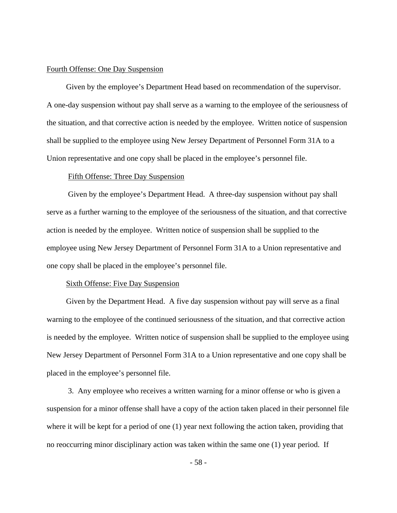#### Fourth Offense: One Day Suspension

 Given by the employee's Department Head based on recommendation of the supervisor. A one-day suspension without pay shall serve as a warning to the employee of the seriousness of the situation, and that corrective action is needed by the employee. Written notice of suspension shall be supplied to the employee using New Jersey Department of Personnel Form 31A to a Union representative and one copy shall be placed in the employee's personnel file.

#### Fifth Offense: Three Day Suspension

 Given by the employee's Department Head. A three-day suspension without pay shall serve as a further warning to the employee of the seriousness of the situation, and that corrective action is needed by the employee. Written notice of suspension shall be supplied to the employee using New Jersey Department of Personnel Form 31A to a Union representative and one copy shall be placed in the employee's personnel file.

#### Sixth Offense: Five Day Suspension

 Given by the Department Head. A five day suspension without pay will serve as a final warning to the employee of the continued seriousness of the situation, and that corrective action is needed by the employee. Written notice of suspension shall be supplied to the employee using New Jersey Department of Personnel Form 31A to a Union representative and one copy shall be placed in the employee's personnel file.

 3. Any employee who receives a written warning for a minor offense or who is given a suspension for a minor offense shall have a copy of the action taken placed in their personnel file where it will be kept for a period of one (1) year next following the action taken, providing that no reoccurring minor disciplinary action was taken within the same one (1) year period. If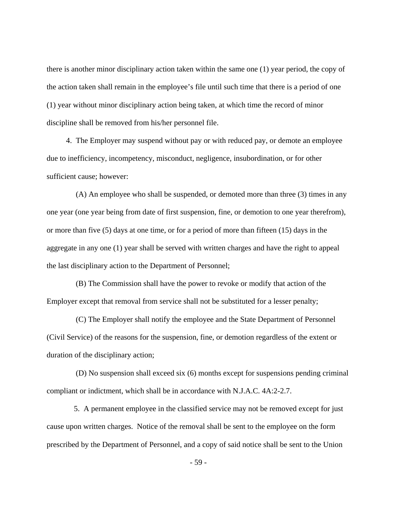there is another minor disciplinary action taken within the same one (1) year period, the copy of the action taken shall remain in the employee's file until such time that there is a period of one (1) year without minor disciplinary action being taken, at which time the record of minor discipline shall be removed from his/her personnel file.

 4. The Employer may suspend without pay or with reduced pay, or demote an employee due to inefficiency, incompetency, misconduct, negligence, insubordination, or for other sufficient cause; however:

 (A) An employee who shall be suspended, or demoted more than three (3) times in any one year (one year being from date of first suspension, fine, or demotion to one year therefrom), or more than five (5) days at one time, or for a period of more than fifteen (15) days in the aggregate in any one (1) year shall be served with written charges and have the right to appeal the last disciplinary action to the Department of Personnel;

 (B) The Commission shall have the power to revoke or modify that action of the Employer except that removal from service shall not be substituted for a lesser penalty;

 (C) The Employer shall notify the employee and the State Department of Personnel (Civil Service) of the reasons for the suspension, fine, or demotion regardless of the extent or duration of the disciplinary action;

 (D) No suspension shall exceed six (6) months except for suspensions pending criminal compliant or indictment, which shall be in accordance with N.J.A.C. 4A:2-2.7.

 5. A permanent employee in the classified service may not be removed except for just cause upon written charges. Notice of the removal shall be sent to the employee on the form prescribed by the Department of Personnel, and a copy of said notice shall be sent to the Union

- 59 -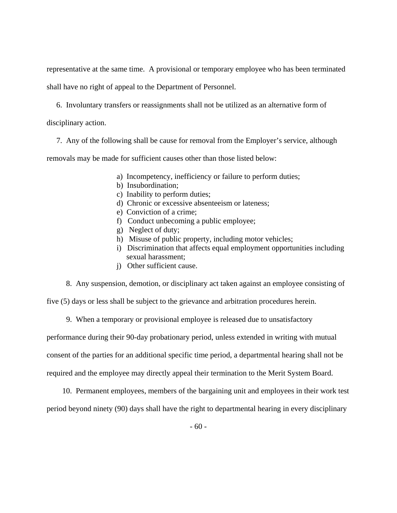representative at the same time. A provisional or temporary employee who has been terminated shall have no right of appeal to the Department of Personnel.

6. Involuntary transfers or reassignments shall not be utilized as an alternative form of

disciplinary action.

7. Any of the following shall be cause for removal from the Employer's service, although

removals may be made for sufficient causes other than those listed below:

- a) Incompetency, inefficiency or failure to perform duties;
- b) Insubordination;
- c) Inability to perform duties;
- d) Chronic or excessive absenteeism or lateness;
- e) Conviction of a crime;
- f) Conduct unbecoming a public employee;
- g) Neglect of duty;
- h) Misuse of public property, including motor vehicles;
- i) Discrimination that affects equal employment opportunities including sexual harassment;
- j) Other sufficient cause.

8. Any suspension, demotion, or disciplinary act taken against an employee consisting of

five (5) days or less shall be subject to the grievance and arbitration procedures herein.

9. When a temporary or provisional employee is released due to unsatisfactory

performance during their 90-day probationary period, unless extended in writing with mutual

consent of the parties for an additional specific time period, a departmental hearing shall not be

required and the employee may directly appeal their termination to the Merit System Board.

10. Permanent employees, members of the bargaining unit and employees in their work test

period beyond ninety (90) days shall have the right to departmental hearing in every disciplinary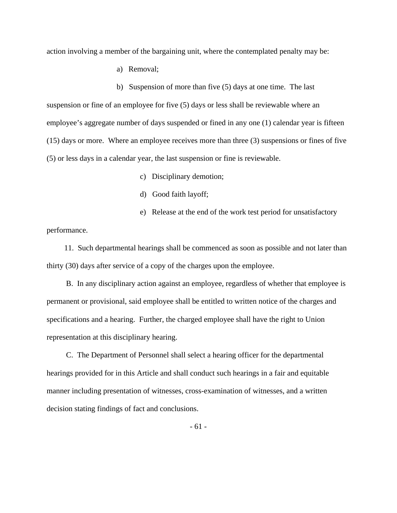action involving a member of the bargaining unit, where the contemplated penalty may be:

a) Removal;

b) Suspension of more than five (5) days at one time. The last suspension or fine of an employee for five (5) days or less shall be reviewable where an employee's aggregate number of days suspended or fined in any one (1) calendar year is fifteen (15) days or more. Where an employee receives more than three (3) suspensions or fines of five (5) or less days in a calendar year, the last suspension or fine is reviewable.

c) Disciplinary demotion;

- d) Good faith layoff;
- e) Release at the end of the work test period for unsatisfactory

performance.

 11. Such departmental hearings shall be commenced as soon as possible and not later than thirty (30) days after service of a copy of the charges upon the employee.

 B. In any disciplinary action against an employee, regardless of whether that employee is permanent or provisional, said employee shall be entitled to written notice of the charges and specifications and a hearing. Further, the charged employee shall have the right to Union representation at this disciplinary hearing.

 C. The Department of Personnel shall select a hearing officer for the departmental hearings provided for in this Article and shall conduct such hearings in a fair and equitable manner including presentation of witnesses, cross-examination of witnesses, and a written decision stating findings of fact and conclusions.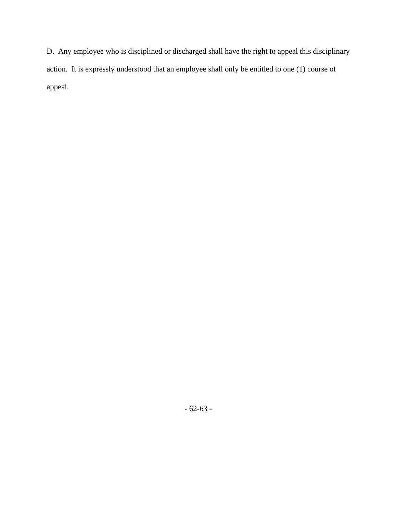D. Any employee who is disciplined or discharged shall have the right to appeal this disciplinary action. It is expressly understood that an employee shall only be entitled to one (1) course of appeal.

- 62-63 -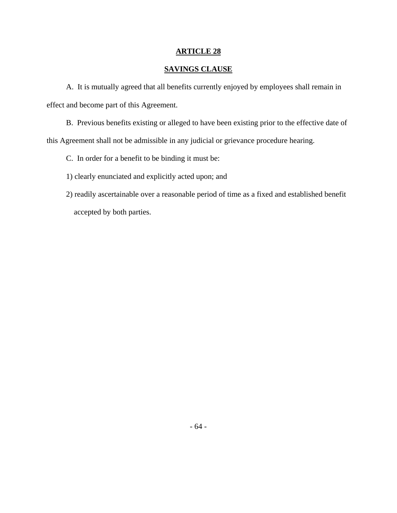# **SAVINGS CLAUSE**

 A. It is mutually agreed that all benefits currently enjoyed by employees shall remain in effect and become part of this Agreement.

 B. Previous benefits existing or alleged to have been existing prior to the effective date of this Agreement shall not be admissible in any judicial or grievance procedure hearing.

C. In order for a benefit to be binding it must be:

1) clearly enunciated and explicitly acted upon; and

 2) readily ascertainable over a reasonable period of time as a fixed and established benefit accepted by both parties.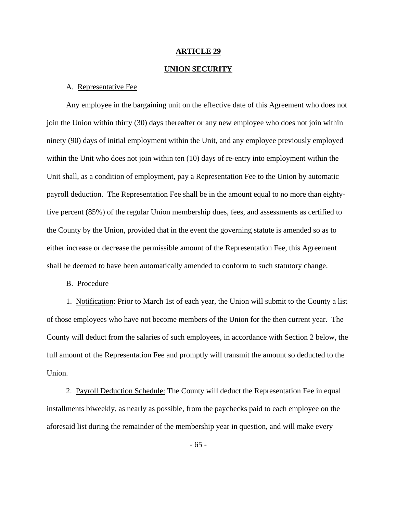#### **UNION SECURITY**

## A. Representative Fee

 Any employee in the bargaining unit on the effective date of this Agreement who does not join the Union within thirty (30) days thereafter or any new employee who does not join within ninety (90) days of initial employment within the Unit, and any employee previously employed within the Unit who does not join within ten (10) days of re-entry into employment within the Unit shall, as a condition of employment, pay a Representation Fee to the Union by automatic payroll deduction. The Representation Fee shall be in the amount equal to no more than eightyfive percent (85%) of the regular Union membership dues, fees, and assessments as certified to the County by the Union, provided that in the event the governing statute is amended so as to either increase or decrease the permissible amount of the Representation Fee, this Agreement shall be deemed to have been automatically amended to conform to such statutory change.

B. Procedure

 1. Notification: Prior to March 1st of each year, the Union will submit to the County a list of those employees who have not become members of the Union for the then current year. The County will deduct from the salaries of such employees, in accordance with Section 2 below, the full amount of the Representation Fee and promptly will transmit the amount so deducted to the Union.

2. Payroll Deduction Schedule: The County will deduct the Representation Fee in equal installments biweekly, as nearly as possible, from the paychecks paid to each employee on the aforesaid list during the remainder of the membership year in question, and will make every

- 65 -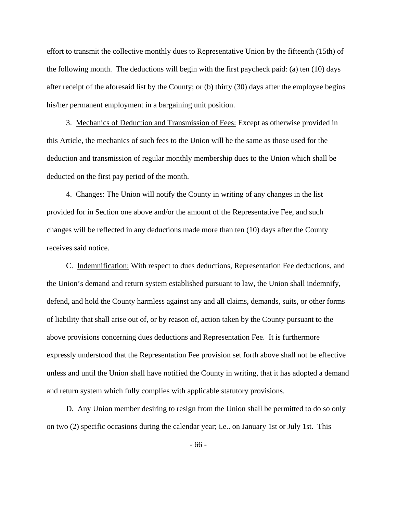effort to transmit the collective monthly dues to Representative Union by the fifteenth (15th) of the following month. The deductions will begin with the first paycheck paid: (a) ten (10) days after receipt of the aforesaid list by the County; or (b) thirty (30) days after the employee begins his/her permanent employment in a bargaining unit position.

 3. Mechanics of Deduction and Transmission of Fees: Except as otherwise provided in this Article, the mechanics of such fees to the Union will be the same as those used for the deduction and transmission of regular monthly membership dues to the Union which shall be deducted on the first pay period of the month.

 4. Changes: The Union will notify the County in writing of any changes in the list provided for in Section one above and/or the amount of the Representative Fee, and such changes will be reflected in any deductions made more than ten (10) days after the County receives said notice.

 C. Indemnification: With respect to dues deductions, Representation Fee deductions, and the Union's demand and return system established pursuant to law, the Union shall indemnify, defend, and hold the County harmless against any and all claims, demands, suits, or other forms of liability that shall arise out of, or by reason of, action taken by the County pursuant to the above provisions concerning dues deductions and Representation Fee. It is furthermore expressly understood that the Representation Fee provision set forth above shall not be effective unless and until the Union shall have notified the County in writing, that it has adopted a demand and return system which fully complies with applicable statutory provisions.

 D. Any Union member desiring to resign from the Union shall be permitted to do so only on two (2) specific occasions during the calendar year; i.e.. on January 1st or July 1st. This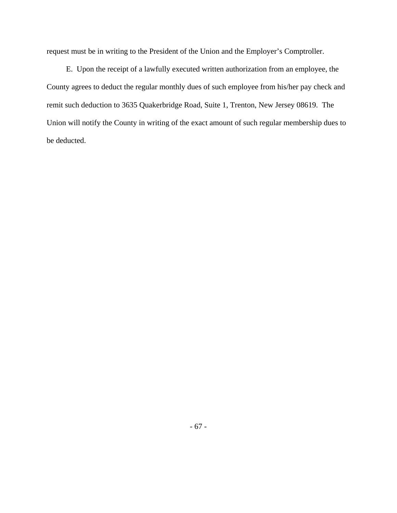request must be in writing to the President of the Union and the Employer's Comptroller.

 E. Upon the receipt of a lawfully executed written authorization from an employee, the County agrees to deduct the regular monthly dues of such employee from his/her pay check and remit such deduction to 3635 Quakerbridge Road, Suite 1, Trenton, New Jersey 08619. The Union will notify the County in writing of the exact amount of such regular membership dues to be deducted.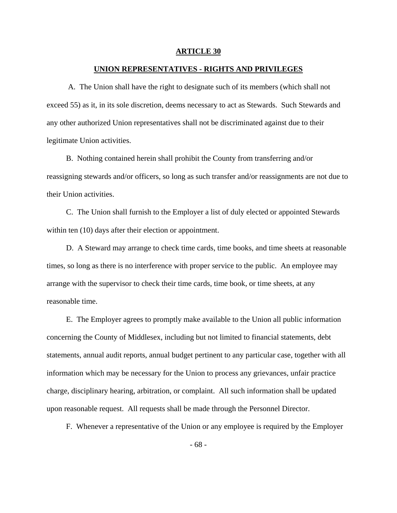#### **UNION REPRESENTATIVES - RIGHTS AND PRIVILEGES**

 A. The Union shall have the right to designate such of its members (which shall not exceed 55) as it, in its sole discretion, deems necessary to act as Stewards. Such Stewards and any other authorized Union representatives shall not be discriminated against due to their legitimate Union activities.

 B. Nothing contained herein shall prohibit the County from transferring and/or reassigning stewards and/or officers, so long as such transfer and/or reassignments are not due to their Union activities.

 C. The Union shall furnish to the Employer a list of duly elected or appointed Stewards within ten  $(10)$  days after their election or appointment.

 D. A Steward may arrange to check time cards, time books, and time sheets at reasonable times, so long as there is no interference with proper service to the public. An employee may arrange with the supervisor to check their time cards, time book, or time sheets, at any reasonable time.

 E. The Employer agrees to promptly make available to the Union all public information concerning the County of Middlesex, including but not limited to financial statements, debt statements, annual audit reports, annual budget pertinent to any particular case, together with all information which may be necessary for the Union to process any grievances, unfair practice charge, disciplinary hearing, arbitration, or complaint. All such information shall be updated upon reasonable request. All requests shall be made through the Personnel Director.

F. Whenever a representative of the Union or any employee is required by the Employer

- 68 -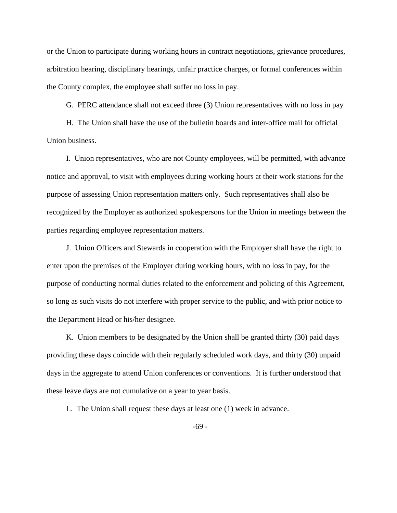or the Union to participate during working hours in contract negotiations, grievance procedures, arbitration hearing, disciplinary hearings, unfair practice charges, or formal conferences within the County complex, the employee shall suffer no loss in pay.

G. PERC attendance shall not exceed three (3) Union representatives with no loss in pay

 H. The Union shall have the use of the bulletin boards and inter-office mail for official Union business.

 I. Union representatives, who are not County employees, will be permitted, with advance notice and approval, to visit with employees during working hours at their work stations for the purpose of assessing Union representation matters only. Such representatives shall also be recognized by the Employer as authorized spokespersons for the Union in meetings between the parties regarding employee representation matters.

 J. Union Officers and Stewards in cooperation with the Employer shall have the right to enter upon the premises of the Employer during working hours, with no loss in pay, for the purpose of conducting normal duties related to the enforcement and policing of this Agreement, so long as such visits do not interfere with proper service to the public, and with prior notice to the Department Head or his/her designee.

 K. Union members to be designated by the Union shall be granted thirty (30) paid days providing these days coincide with their regularly scheduled work days, and thirty (30) unpaid days in the aggregate to attend Union conferences or conventions. It is further understood that these leave days are not cumulative on a year to year basis.

L. The Union shall request these days at least one (1) week in advance.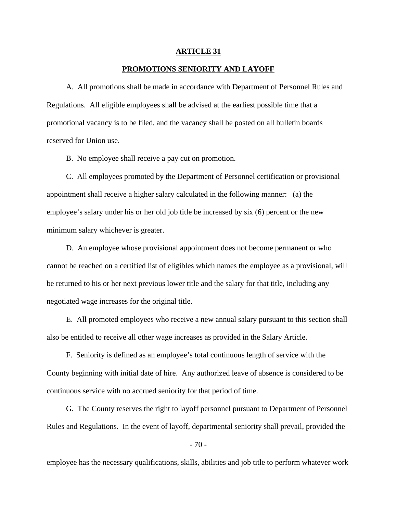#### **PROMOTIONS SENIORITY AND LAYOFF**

 A. All promotions shall be made in accordance with Department of Personnel Rules and Regulations. All eligible employees shall be advised at the earliest possible time that a promotional vacancy is to be filed, and the vacancy shall be posted on all bulletin boards reserved for Union use.

B. No employee shall receive a pay cut on promotion.

 C. All employees promoted by the Department of Personnel certification or provisional appointment shall receive a higher salary calculated in the following manner: (a) the employee's salary under his or her old job title be increased by six (6) percent or the new minimum salary whichever is greater.

 D. An employee whose provisional appointment does not become permanent or who cannot be reached on a certified list of eligibles which names the employee as a provisional, will be returned to his or her next previous lower title and the salary for that title, including any negotiated wage increases for the original title.

 E. All promoted employees who receive a new annual salary pursuant to this section shall also be entitled to receive all other wage increases as provided in the Salary Article.

 F. Seniority is defined as an employee's total continuous length of service with the County beginning with initial date of hire. Any authorized leave of absence is considered to be continuous service with no accrued seniority for that period of time.

 G. The County reserves the right to layoff personnel pursuant to Department of Personnel Rules and Regulations. In the event of layoff, departmental seniority shall prevail, provided the

 $-70-$ 

employee has the necessary qualifications, skills, abilities and job title to perform whatever work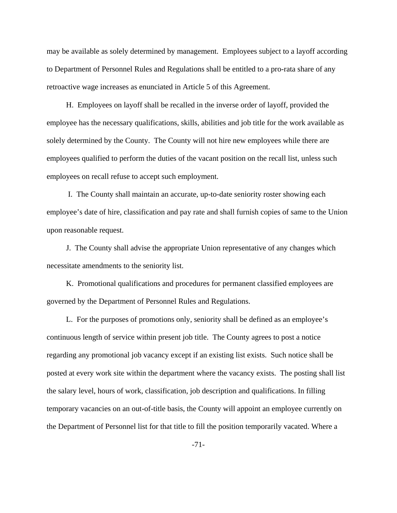may be available as solely determined by management. Employees subject to a layoff according to Department of Personnel Rules and Regulations shall be entitled to a pro-rata share of any retroactive wage increases as enunciated in Article 5 of this Agreement.

 H. Employees on layoff shall be recalled in the inverse order of layoff, provided the employee has the necessary qualifications, skills, abilities and job title for the work available as solely determined by the County. The County will not hire new employees while there are employees qualified to perform the duties of the vacant position on the recall list, unless such employees on recall refuse to accept such employment.

 I. The County shall maintain an accurate, up-to-date seniority roster showing each employee's date of hire, classification and pay rate and shall furnish copies of same to the Union upon reasonable request.

 J. The County shall advise the appropriate Union representative of any changes which necessitate amendments to the seniority list.

 K. Promotional qualifications and procedures for permanent classified employees are governed by the Department of Personnel Rules and Regulations.

 L. For the purposes of promotions only, seniority shall be defined as an employee's continuous length of service within present job title. The County agrees to post a notice regarding any promotional job vacancy except if an existing list exists. Such notice shall be posted at every work site within the department where the vacancy exists. The posting shall list the salary level, hours of work, classification, job description and qualifications. In filling temporary vacancies on an out-of-title basis, the County will appoint an employee currently on the Department of Personnel list for that title to fill the position temporarily vacated. Where a

-71-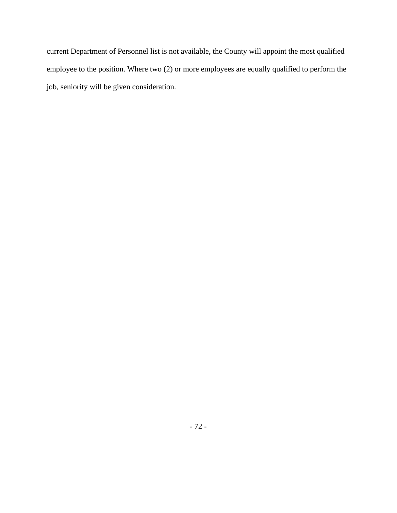current Department of Personnel list is not available, the County will appoint the most qualified employee to the position. Where two (2) or more employees are equally qualified to perform the job, seniority will be given consideration.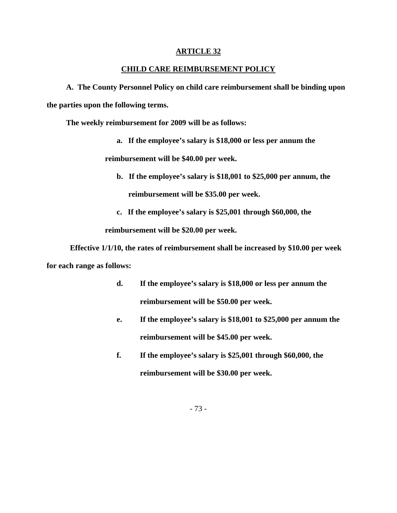#### **CHILD CARE REIMBURSEMENT POLICY**

 **A. The County Personnel Policy on child care reimbursement shall be binding upon the parties upon the following terms.** 

 **The weekly reimbursement for 2009 will be as follows:** 

**a. If the employee's salary is \$18,000 or less per annum the** 

 **reimbursement will be \$40.00 per week.** 

- **b. If the employee's salary is \$18,001 to \$25,000 per annum, the reimbursement will be \$35.00 per week.**
- **c. If the employee's salary is \$25,001 through \$60,000, the**

 **reimbursement will be \$20.00 per week.** 

**Effective 1/1/10, the rates of reimbursement shall be increased by \$10.00 per week for each range as follows:** 

- **d. If the employee's salary is \$18,000 or less per annum the reimbursement will be \$50.00 per week.**
- **e. If the employee's salary is \$18,001 to \$25,000 per annum the reimbursement will be \$45.00 per week.**
- **f. If the employee's salary is \$25,001 through \$60,000, the reimbursement will be \$30.00 per week.**

- 73 -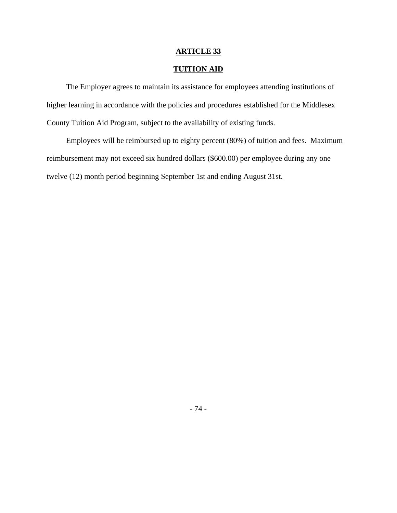## **TUITION AID**

 The Employer agrees to maintain its assistance for employees attending institutions of higher learning in accordance with the policies and procedures established for the Middlesex County Tuition Aid Program, subject to the availability of existing funds.

 Employees will be reimbursed up to eighty percent (80%) of tuition and fees. Maximum reimbursement may not exceed six hundred dollars (\$600.00) per employee during any one twelve (12) month period beginning September 1st and ending August 31st.

- 74 -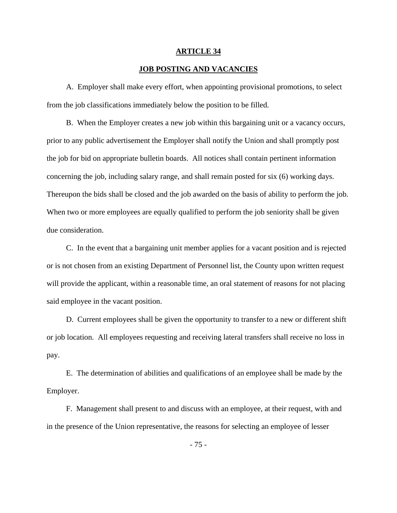#### **JOB POSTING AND VACANCIES**

 A. Employer shall make every effort, when appointing provisional promotions, to select from the job classifications immediately below the position to be filled.

 B. When the Employer creates a new job within this bargaining unit or a vacancy occurs, prior to any public advertisement the Employer shall notify the Union and shall promptly post the job for bid on appropriate bulletin boards. All notices shall contain pertinent information concerning the job, including salary range, and shall remain posted for six (6) working days. Thereupon the bids shall be closed and the job awarded on the basis of ability to perform the job. When two or more employees are equally qualified to perform the job seniority shall be given due consideration.

 C. In the event that a bargaining unit member applies for a vacant position and is rejected or is not chosen from an existing Department of Personnel list, the County upon written request will provide the applicant, within a reasonable time, an oral statement of reasons for not placing said employee in the vacant position.

 D. Current employees shall be given the opportunity to transfer to a new or different shift or job location. All employees requesting and receiving lateral transfers shall receive no loss in pay.

 E. The determination of abilities and qualifications of an employee shall be made by the Employer.

 F. Management shall present to and discuss with an employee, at their request, with and in the presence of the Union representative, the reasons for selecting an employee of lesser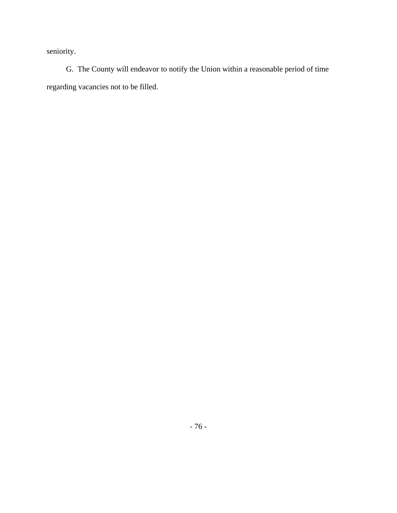seniority.

 G. The County will endeavor to notify the Union within a reasonable period of time regarding vacancies not to be filled.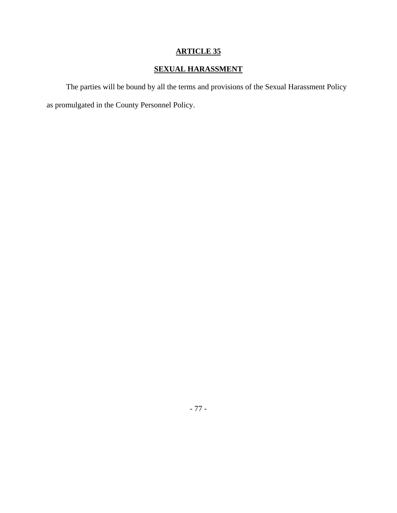# **SEXUAL HARASSMENT**

 The parties will be bound by all the terms and provisions of the Sexual Harassment Policy as promulgated in the County Personnel Policy.

- 77 -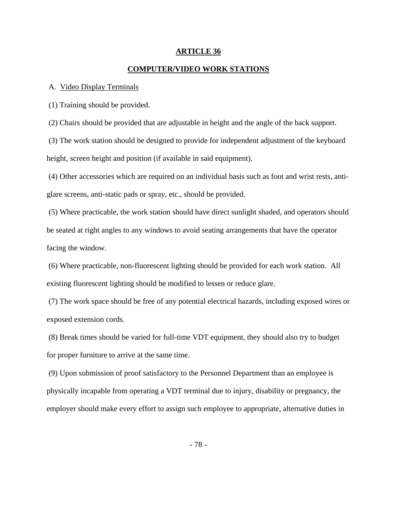#### **COMPUTER/VIDEO WORK STATIONS**

#### A. Video Display Terminals

(1) Training should be provided.

(2) Chairs should be provided that are adjustable in height and the angle of the back support.

 (3) The work station should be designed to provide for independent adjustment of the keyboard height, screen height and position (if available in said equipment).

 (4) Other accessories which are required on an individual basis such as foot and wrist rests, antiglare screens, anti-static pads or spray, etc., should be provided.

 (5) Where practicable, the work station should have direct sunlight shaded, and operators should be seated at right angles to any windows to avoid seating arrangements that have the operator facing the window.

 (6) Where practicable, non-fluorescent lighting should be provided for each work station. All existing fluorescent lighting should be modified to lessen or reduce glare.

 (7) The work space should be free of any potential electrical hazards, including exposed wires or exposed extension cords.

 (8) Break times should be varied for full-time VDT equipment, they should also try to budget for proper furniture to arrive at the same time.

 (9) Upon submission of proof satisfactory to the Personnel Department than an employee is physically incapable from operating a VDT terminal due to injury, disability or pregnancy, the employer should make every effort to assign such employee to appropriate, alternative duties in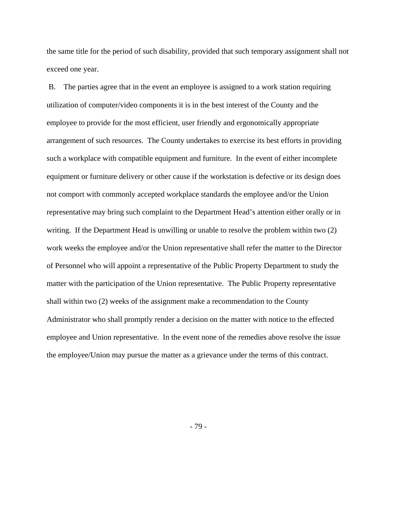the same title for the period of such disability, provided that such temporary assignment shall not exceed one year.

 B. The parties agree that in the event an employee is assigned to a work station requiring utilization of computer/video components it is in the best interest of the County and the employee to provide for the most efficient, user friendly and ergonomically appropriate arrangement of such resources. The County undertakes to exercise its best efforts in providing such a workplace with compatible equipment and furniture. In the event of either incomplete equipment or furniture delivery or other cause if the workstation is defective or its design does not comport with commonly accepted workplace standards the employee and/or the Union representative may bring such complaint to the Department Head's attention either orally or in writing. If the Department Head is unwilling or unable to resolve the problem within two (2) work weeks the employee and/or the Union representative shall refer the matter to the Director of Personnel who will appoint a representative of the Public Property Department to study the matter with the participation of the Union representative. The Public Property representative shall within two (2) weeks of the assignment make a recommendation to the County Administrator who shall promptly render a decision on the matter with notice to the effected employee and Union representative. In the event none of the remedies above resolve the issue the employee/Union may pursue the matter as a grievance under the terms of this contract.

- 79 -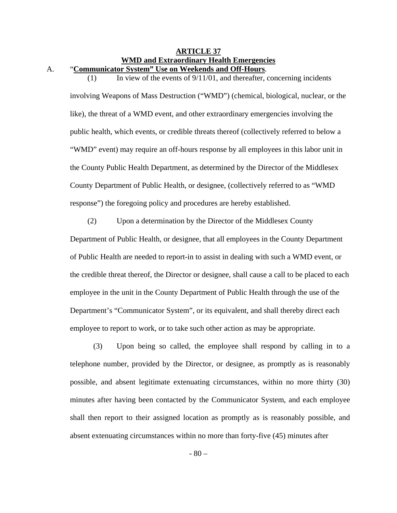# **ARTICLE 37 WMD and Extraordinary Health Emergencies**

A. "**Communicator System" Use on Weekends and Off-Hours**. (1) In view of the events of  $9/11/01$ , and thereafter, concerning incidents

involving Weapons of Mass Destruction ("WMD") (chemical, biological, nuclear, or the like), the threat of a WMD event, and other extraordinary emergencies involving the public health, which events, or credible threats thereof (collectively referred to below a "WMD" event) may require an off-hours response by all employees in this labor unit in the County Public Health Department, as determined by the Director of the Middlesex County Department of Public Health, or designee, (collectively referred to as "WMD response") the foregoing policy and procedures are hereby established.

(2) Upon a determination by the Director of the Middlesex County Department of Public Health, or designee, that all employees in the County Department of Public Health are needed to report-in to assist in dealing with such a WMD event, or the credible threat thereof, the Director or designee, shall cause a call to be placed to each employee in the unit in the County Department of Public Health through the use of the Department's "Communicator System", or its equivalent, and shall thereby direct each employee to report to work, or to take such other action as may be appropriate.

(3) Upon being so called, the employee shall respond by calling in to a telephone number, provided by the Director, or designee, as promptly as is reasonably possible, and absent legitimate extenuating circumstances, within no more thirty (30) minutes after having been contacted by the Communicator System, and each employee shall then report to their assigned location as promptly as is reasonably possible, and absent extenuating circumstances within no more than forty-five (45) minutes after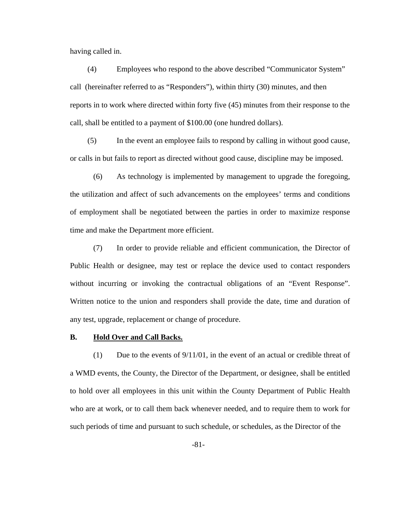having called in.

(4) Employees who respond to the above described "Communicator System" call (hereinafter referred to as "Responders"), within thirty (30) minutes, and then reports in to work where directed within forty five (45) minutes from their response to the call, shall be entitled to a payment of \$100.00 (one hundred dollars).

(5) In the event an employee fails to respond by calling in without good cause, or calls in but fails to report as directed without good cause, discipline may be imposed.

(6) As technology is implemented by management to upgrade the foregoing, the utilization and affect of such advancements on the employees' terms and conditions of employment shall be negotiated between the parties in order to maximize response time and make the Department more efficient.

(7) In order to provide reliable and efficient communication, the Director of Public Health or designee, may test or replace the device used to contact responders without incurring or invoking the contractual obligations of an "Event Response". Written notice to the union and responders shall provide the date, time and duration of any test, upgrade, replacement or change of procedure.

#### **B. Hold Over and Call Backs.**

(1) Due to the events of 9/11/01, in the event of an actual or credible threat of a WMD events, the County, the Director of the Department, or designee, shall be entitled to hold over all employees in this unit within the County Department of Public Health who are at work, or to call them back whenever needed, and to require them to work for such periods of time and pursuant to such schedule, or schedules, as the Director of the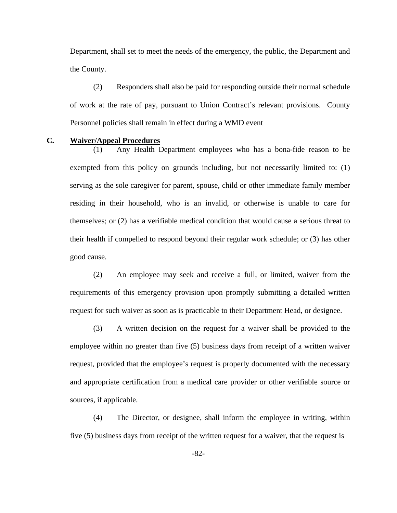Department, shall set to meet the needs of the emergency, the public, the Department and the County.

(2) Responders shall also be paid for responding outside their normal schedule of work at the rate of pay, pursuant to Union Contract's relevant provisions. County Personnel policies shall remain in effect during a WMD event

#### **C. Waiver/Appeal Procedures**

(1) Any Health Department employees who has a bona-fide reason to be exempted from this policy on grounds including, but not necessarily limited to: (1) serving as the sole caregiver for parent, spouse, child or other immediate family member residing in their household, who is an invalid, or otherwise is unable to care for themselves; or (2) has a verifiable medical condition that would cause a serious threat to their health if compelled to respond beyond their regular work schedule; or (3) has other good cause.

(2) An employee may seek and receive a full, or limited, waiver from the requirements of this emergency provision upon promptly submitting a detailed written request for such waiver as soon as is practicable to their Department Head, or designee.

(3) A written decision on the request for a waiver shall be provided to the employee within no greater than five (5) business days from receipt of a written waiver request, provided that the employee's request is properly documented with the necessary and appropriate certification from a medical care provider or other verifiable source or sources, if applicable.

(4) The Director, or designee, shall inform the employee in writing, within five (5) business days from receipt of the written request for a waiver, that the request is

-82-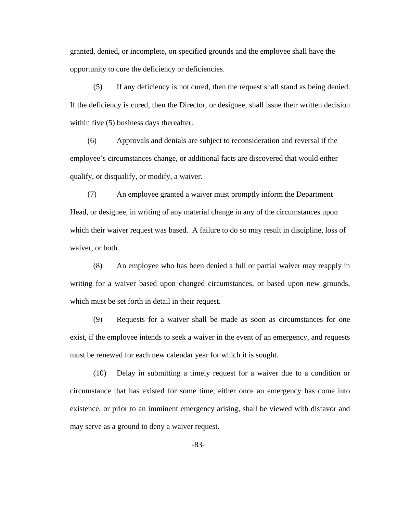granted, denied, or incomplete, on specified grounds and the employee shall have the opportunity to cure the deficiency or deficiencies.

(5) If any deficiency is not cured, then the request shall stand as being denied. If the deficiency is cured, then the Director, or designee, shall issue their written decision within five (5) business days thereafter.

(6) Approvals and denials are subject to reconsideration and reversal if the employee's circumstances change, or additional facts are discovered that would either qualify, or disqualify, or modify, a waiver.

(7) An employee granted a waiver must promptly inform the Department Head, or designee, in writing of any material change in any of the circumstances upon which their waiver request was based. A failure to do so may result in discipline, loss of waiver, or both.

(8) An employee who has been denied a full or partial waiver may reapply in writing for a waiver based upon changed circumstances, or based upon new grounds, which must be set forth in detail in their request.

(9) Requests for a waiver shall be made as soon as circumstances for one exist, if the employee intends to seek a waiver in the event of an emergency, and requests must be renewed for each new calendar year for which it is sought.

(10) Delay in submitting a timely request for a waiver due to a condition or circumstance that has existed for some time, either once an emergency has come into existence, or prior to an imminent emergency arising, shall be viewed with disfavor and may serve as a ground to deny a waiver request.

-83-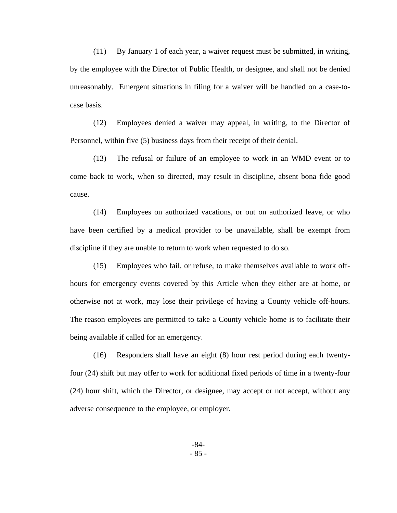(11) By January 1 of each year, a waiver request must be submitted, in writing, by the employee with the Director of Public Health, or designee, and shall not be denied unreasonably. Emergent situations in filing for a waiver will be handled on a case-tocase basis.

(12) Employees denied a waiver may appeal, in writing, to the Director of Personnel, within five (5) business days from their receipt of their denial.

(13) The refusal or failure of an employee to work in an WMD event or to come back to work, when so directed, may result in discipline, absent bona fide good cause.

(14) Employees on authorized vacations, or out on authorized leave, or who have been certified by a medical provider to be unavailable, shall be exempt from discipline if they are unable to return to work when requested to do so.

(15) Employees who fail, or refuse, to make themselves available to work offhours for emergency events covered by this Article when they either are at home, or otherwise not at work, may lose their privilege of having a County vehicle off-hours. The reason employees are permitted to take a County vehicle home is to facilitate their being available if called for an emergency.

(16) Responders shall have an eight (8) hour rest period during each twentyfour (24) shift but may offer to work for additional fixed periods of time in a twenty-four (24) hour shift, which the Director, or designee, may accept or not accept, without any adverse consequence to the employee, or employer.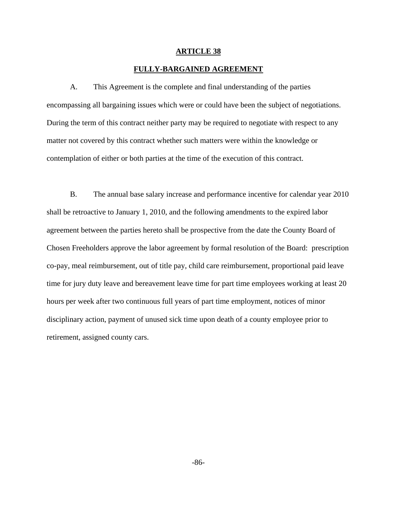#### **FULLY-BARGAINED AGREEMENT**

 A. This Agreement is the complete and final understanding of the parties encompassing all bargaining issues which were or could have been the subject of negotiations. During the term of this contract neither party may be required to negotiate with respect to any matter not covered by this contract whether such matters were within the knowledge or contemplation of either or both parties at the time of the execution of this contract.

B. The annual base salary increase and performance incentive for calendar year 2010 shall be retroactive to January 1, 2010, and the following amendments to the expired labor agreement between the parties hereto shall be prospective from the date the County Board of Chosen Freeholders approve the labor agreement by formal resolution of the Board: prescription co-pay, meal reimbursement, out of title pay, child care reimbursement, proportional paid leave time for jury duty leave and bereavement leave time for part time employees working at least 20 hours per week after two continuous full years of part time employment, notices of minor disciplinary action, payment of unused sick time upon death of a county employee prior to retirement, assigned county cars.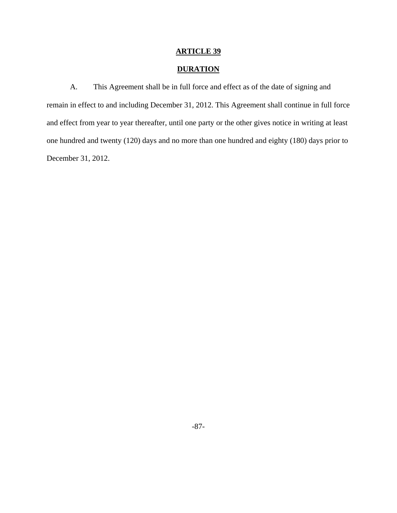## **DURATION**

 A. This Agreement shall be in full force and effect as of the date of signing and remain in effect to and including December 31, 2012. This Agreement shall continue in full force and effect from year to year thereafter, until one party or the other gives notice in writing at least one hundred and twenty (120) days and no more than one hundred and eighty (180) days prior to December 31, 2012.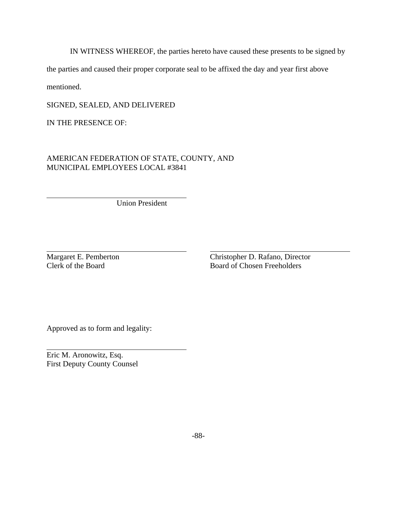IN WITNESS WHEREOF, the parties hereto have caused these presents to be signed by

the parties and caused their proper corporate seal to be affixed the day and year first above

mentioned.

 $\overline{a}$ 

 $\overline{a}$ 

 $\overline{a}$ 

SIGNED, SEALED, AND DELIVERED

IN THE PRESENCE OF:

AMERICAN FEDERATION OF STATE, COUNTY, AND MUNICIPAL EMPLOYEES LOCAL #3841

Union President

Margaret E. Pemberton Christopher D. Rafano, Director Clerk of the Board<br>
Christopher D. Rafano, Director Clerk of the Board Board of Chosen Freeholders

Approved as to form and legality:

Eric M. Aronowitz, Esq. First Deputy County Counsel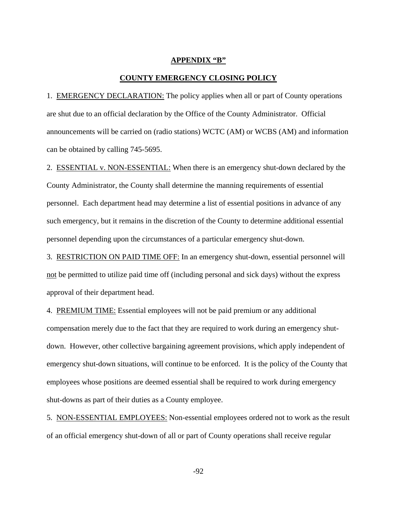#### **APPENDIX "B"**

#### **COUNTY EMERGENCY CLOSING POLICY**

1. EMERGENCY DECLARATION: The policy applies when all or part of County operations are shut due to an official declaration by the Office of the County Administrator. Official announcements will be carried on (radio stations) WCTC (AM) or WCBS (AM) and information can be obtained by calling 745-5695.

2. ESSENTIAL v. NON-ESSENTIAL: When there is an emergency shut-down declared by the County Administrator, the County shall determine the manning requirements of essential personnel. Each department head may determine a list of essential positions in advance of any such emergency, but it remains in the discretion of the County to determine additional essential personnel depending upon the circumstances of a particular emergency shut-down.

3. RESTRICTION ON PAID TIME OFF: In an emergency shut-down, essential personnel will not be permitted to utilize paid time off (including personal and sick days) without the express approval of their department head.

4. PREMIUM TIME: Essential employees will not be paid premium or any additional compensation merely due to the fact that they are required to work during an emergency shutdown. However, other collective bargaining agreement provisions, which apply independent of emergency shut-down situations, will continue to be enforced. It is the policy of the County that employees whose positions are deemed essential shall be required to work during emergency shut-downs as part of their duties as a County employee.

5. NON-ESSENTIAL EMPLOYEES: Non-essential employees ordered not to work as the result of an official emergency shut-down of all or part of County operations shall receive regular

-92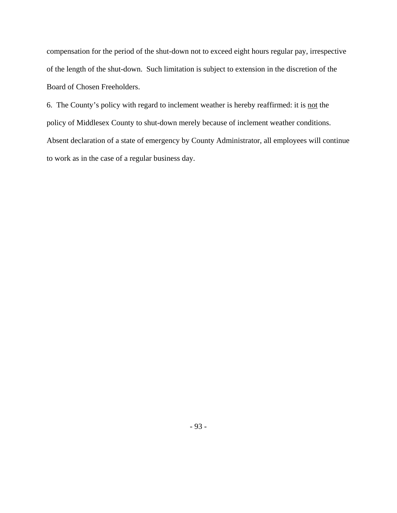compensation for the period of the shut-down not to exceed eight hours regular pay, irrespective of the length of the shut-down. Such limitation is subject to extension in the discretion of the Board of Chosen Freeholders.

6. The County's policy with regard to inclement weather is hereby reaffirmed: it is not the policy of Middlesex County to shut-down merely because of inclement weather conditions. Absent declaration of a state of emergency by County Administrator, all employees will continue to work as in the case of a regular business day.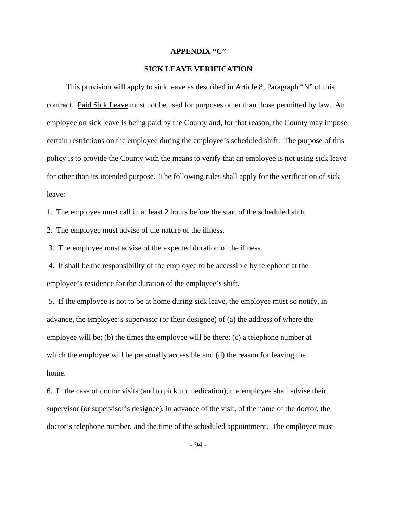#### **APPENDIX "C"**

#### **SICK LEAVE VERIFICATION**

 This provision will apply to sick leave as described in Article 8, Paragraph "N" of this contract. Paid Sick Leave must not be used for purposes other than those permitted by law. An employee on sick leave is being paid by the County and, for that reason, the County may impose certain restrictions on the employee during the employee's scheduled shift. The purpose of this policy is to provide the County with the means to verify that an employee is not using sick leave for other than its intended purpose. The following rules shall apply for the verification of sick leave:

1. The employee must call in at least 2 hours before the start of the scheduled shift.

2. The employee must advise of the nature of the illness.

3. The employee must advise of the expected duration of the illness.

 4. It shall be the responsibility of the employee to be accessible by telephone at the employee's residence for the duration of the employee's shift.

 5. If the employee is not to be at home during sick leave, the employee must so notify, in advance, the employee's supervisor (or their designee) of (a) the address of where the employee will be; (b) the times the employee will be there; (c) a telephone number at which the employee will be personally accessible and (d) the reason for leaving the home.

6. In the case of doctor visits (and to pick up medication), the employee shall advise their supervisor (or supervisor's designee), in advance of the visit, of the name of the doctor, the doctor's telephone number, and the time of the scheduled appointment. The employee must

- 94 -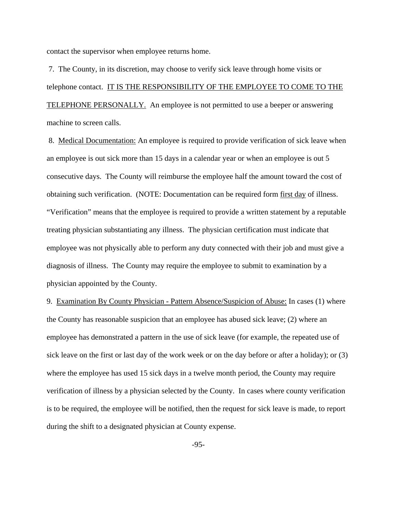contact the supervisor when employee returns home.

 7. The County, in its discretion, may choose to verify sick leave through home visits or telephone contact. IT IS THE RESPONSIBILITY OF THE EMPLOYEE TO COME TO THE TELEPHONE PERSONALLY. An employee is not permitted to use a beeper or answering machine to screen calls.

 8. Medical Documentation: An employee is required to provide verification of sick leave when an employee is out sick more than 15 days in a calendar year or when an employee is out 5 consecutive days. The County will reimburse the employee half the amount toward the cost of obtaining such verification. (NOTE: Documentation can be required form first day of illness. "Verification" means that the employee is required to provide a written statement by a reputable treating physician substantiating any illness. The physician certification must indicate that employee was not physically able to perform any duty connected with their job and must give a diagnosis of illness. The County may require the employee to submit to examination by a physician appointed by the County.

9. Examination By County Physician - Pattern Absence/Suspicion of Abuse: In cases (1) where the County has reasonable suspicion that an employee has abused sick leave; (2) where an employee has demonstrated a pattern in the use of sick leave (for example, the repeated use of sick leave on the first or last day of the work week or on the day before or after a holiday); or (3) where the employee has used 15 sick days in a twelve month period, the County may require verification of illness by a physician selected by the County. In cases where county verification is to be required, the employee will be notified, then the request for sick leave is made, to report during the shift to a designated physician at County expense.

-95-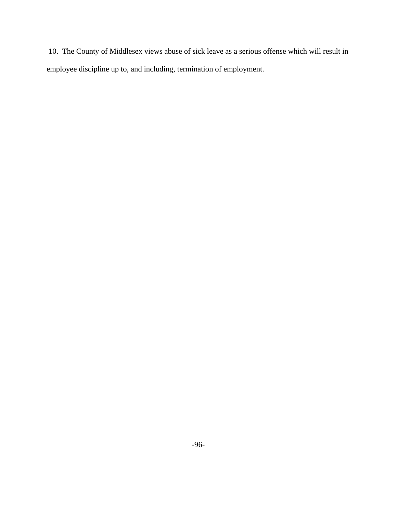10. The County of Middlesex views abuse of sick leave as a serious offense which will result in employee discipline up to, and including, termination of employment.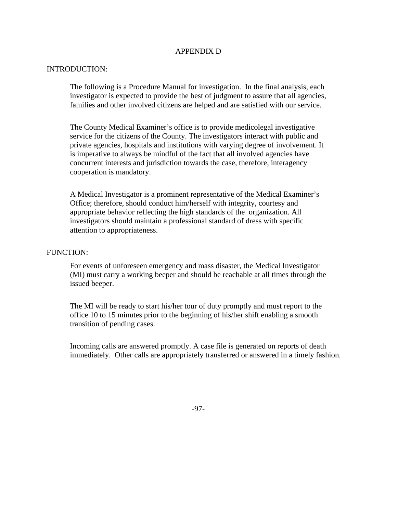### APPENDIX D

#### INTRODUCTION:

The following is a Procedure Manual for investigation. In the final analysis, each investigator is expected to provide the best of judgment to assure that all agencies, families and other involved citizens are helped and are satisfied with our service.

The County Medical Examiner's office is to provide medicolegal investigative service for the citizens of the County. The investigators interact with public and private agencies, hospitals and institutions with varying degree of involvement. It is imperative to always be mindful of the fact that all involved agencies have concurrent interests and jurisdiction towards the case, therefore, interagency cooperation is mandatory.

A Medical Investigator is a prominent representative of the Medical Examiner's Office; therefore, should conduct him/herself with integrity, courtesy and appropriate behavior reflecting the high standards of the organization. All investigators should maintain a professional standard of dress with specific attention to appropriateness.

#### FUNCTION:

For events of unforeseen emergency and mass disaster, the Medical Investigator (MI) must carry a working beeper and should be reachable at all times through the issued beeper.

The MI will be ready to start his/her tour of duty promptly and must report to the office 10 to 15 minutes prior to the beginning of his/her shift enabling a smooth transition of pending cases.

 Incoming calls are answered promptly. A case file is generated on reports of death immediately. Other calls are appropriately transferred or answered in a timely fashion.

-97-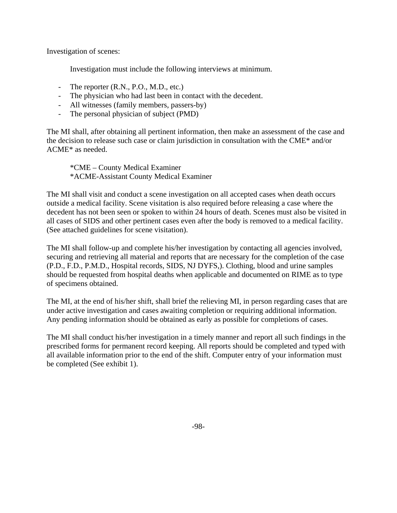Investigation of scenes:

Investigation must include the following interviews at minimum.

- The reporter (R.N., P.O., M.D., etc.)
- The physician who had last been in contact with the decedent.
- All witnesses (family members, passers-by)
- The personal physician of subject (PMD)

The MI shall, after obtaining all pertinent information, then make an assessment of the case and the decision to release such case or claim jurisdiction in consultation with the CME\* and/or ACME\* as needed.

 \*CME – County Medical Examiner \*ACME-Assistant County Medical Examiner

The MI shall visit and conduct a scene investigation on all accepted cases when death occurs outside a medical facility. Scene visitation is also required before releasing a case where the decedent has not been seen or spoken to within 24 hours of death. Scenes must also be visited in all cases of SIDS and other pertinent cases even after the body is removed to a medical facility. (See attached guidelines for scene visitation).

The MI shall follow-up and complete his/her investigation by contacting all agencies involved, securing and retrieving all material and reports that are necessary for the completion of the case (P.D., F.D., P.M.D., Hospital records, SIDS, NJ DYFS,). Clothing, blood and urine samples should be requested from hospital deaths when applicable and documented on RIME as to type of specimens obtained.

The MI, at the end of his/her shift, shall brief the relieving MI, in person regarding cases that are under active investigation and cases awaiting completion or requiring additional information. Any pending information should be obtained as early as possible for completions of cases.

The MI shall conduct his/her investigation in a timely manner and report all such findings in the prescribed forms for permanent record keeping. All reports should be completed and typed with all available information prior to the end of the shift. Computer entry of your information must be completed (See exhibit 1).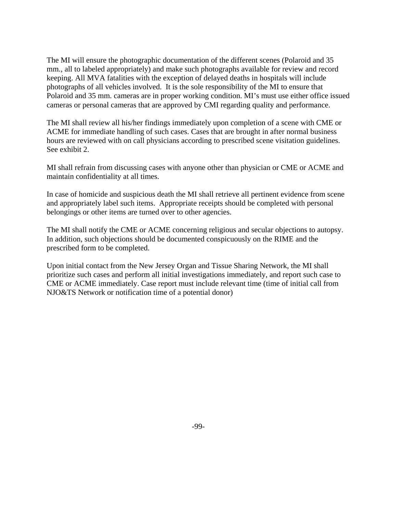The MI will ensure the photographic documentation of the different scenes (Polaroid and 35 mm., all to labeled appropriately) and make such photographs available for review and record keeping. All MVA fatalities with the exception of delayed deaths in hospitals will include photographs of all vehicles involved. It is the sole responsibility of the MI to ensure that Polaroid and 35 mm. cameras are in proper working condition. MI's must use either office issued cameras or personal cameras that are approved by CMI regarding quality and performance.

The MI shall review all his/her findings immediately upon completion of a scene with CME or ACME for immediate handling of such cases. Cases that are brought in after normal business hours are reviewed with on call physicians according to prescribed scene visitation guidelines. See exhibit 2.

MI shall refrain from discussing cases with anyone other than physician or CME or ACME and maintain confidentiality at all times.

In case of homicide and suspicious death the MI shall retrieve all pertinent evidence from scene and appropriately label such items. Appropriate receipts should be completed with personal belongings or other items are turned over to other agencies.

The MI shall notify the CME or ACME concerning religious and secular objections to autopsy. In addition, such objections should be documented conspicuously on the RIME and the prescribed form to be completed.

Upon initial contact from the New Jersey Organ and Tissue Sharing Network, the MI shall prioritize such cases and perform all initial investigations immediately, and report such case to CME or ACME immediately. Case report must include relevant time (time of initial call from NJO&TS Network or notification time of a potential donor)